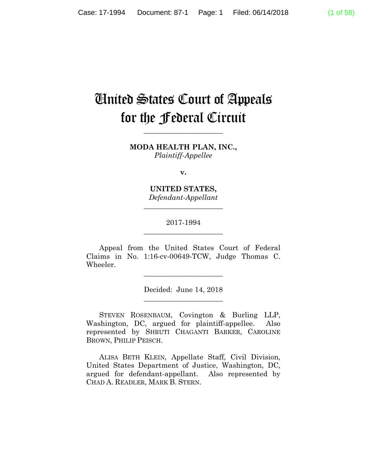# United States Court of Appeals for the Federal Circuit

**MODA HEALTH PLAN, INC.,** *Plaintiff-Appellee*

**\_\_\_\_\_\_\_\_\_\_\_\_\_\_\_\_\_\_\_\_\_\_** 

**v.**

**UNITED STATES,** *Defendant-Appellant*

**\_\_\_\_\_\_\_\_\_\_\_\_\_\_\_\_\_\_\_\_\_\_** 

# 2017-1994 **\_\_\_\_\_\_\_\_\_\_\_\_\_\_\_\_\_\_\_\_\_\_**

Appeal from the United States Court of Federal Claims in No. 1:16-cv-00649-TCW, Judge Thomas C. Wheeler.

> Decided: June 14, 2018 **\_\_\_\_\_\_\_\_\_\_\_\_\_\_\_\_\_\_\_\_\_\_**

**\_\_\_\_\_\_\_\_\_\_\_\_\_\_\_\_\_\_\_\_\_\_** 

 STEVEN ROSENBAUM, Covington & Burling LLP, Washington, DC, argued for plaintiff-appellee. Also represented by SHRUTI CHAGANTI BARKER, CAROLINE BROWN, PHILIP PEISCH.

 ALISA BETH KLEIN, Appellate Staff, Civil Division, United States Department of Justice, Washington, DC, argued for defendant-appellant. Also represented by CHAD A. READLER, MARK B. STERN.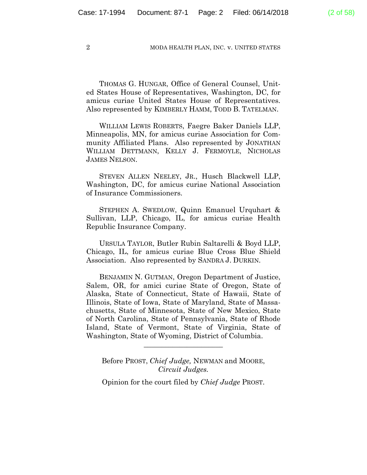THOMAS G. HUNGAR, Office of General Counsel, United States House of Representatives, Washington, DC, for amicus curiae United States House of Representatives. Also represented by KIMBERLY HAMM, TODD B. TATELMAN.

 WILLIAM LEWIS ROBERTS, Faegre Baker Daniels LLP, Minneapolis, MN, for amicus curiae Association for Community Affiliated Plans. Also represented by JONATHAN WILLIAM DETTMANN, KELLY J. FERMOYLE, NICHOLAS JAMES NELSON.

 STEVEN ALLEN NEELEY, JR., Husch Blackwell LLP, Washington, DC, for amicus curiae National Association of Insurance Commissioners.

 STEPHEN A. SWEDLOW, Quinn Emanuel Urquhart & Sullivan, LLP, Chicago, IL, for amicus curiae Health Republic Insurance Company.

 URSULA TAYLOR, Butler Rubin Saltarelli & Boyd LLP, Chicago, IL, for amicus curiae Blue Cross Blue Shield Association. Also represented by SANDRA J. DURKIN.

 BENJAMIN N. GUTMAN, Oregon Department of Justice, Salem, OR, for amici curiae State of Oregon, State of Alaska, State of Connecticut, State of Hawaii, State of Illinois, State of Iowa, State of Maryland, State of Massachusetts, State of Minnesota, State of New Mexico, State of North Carolina, State of Pennsylvania, State of Rhode Island, State of Vermont, State of Virginia, State of Washington, State of Wyoming, District of Columbia.

Before PROST, *Chief Judge,* NEWMAN and MOORE, *Circuit Judges.*

**\_\_\_\_\_\_\_\_\_\_\_\_\_\_\_\_\_\_\_\_\_\_** 

Opinion for the court filed by *Chief Judge* PROST.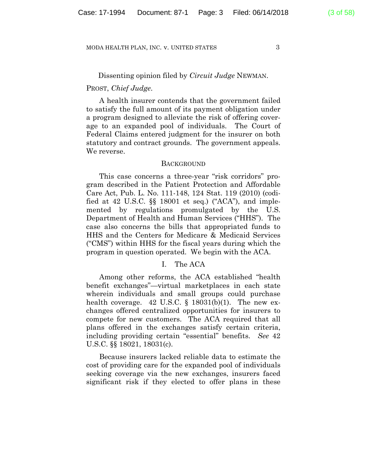### Dissenting opinion filed by *Circuit Judge* NEWMAN.

### PROST, *Chief Judge*.

A health insurer contends that the government failed to satisfy the full amount of its payment obligation under a program designed to alleviate the risk of offering coverage to an expanded pool of individuals. The Court of Federal Claims entered judgment for the insurer on both statutory and contract grounds. The government appeals. We reverse.

### **BACKGROUND**

This case concerns a three-year "risk corridors" program described in the Patient Protection and Affordable Care Act, Pub. L. No. 111-148, 124 Stat. 119 (2010) (codified at 42 U.S.C.  $\$  18001 et seq.) ("ACA"), and implemented by regulations promulgated by the U.S. Department of Health and Human Services ("HHS"). The case also concerns the bills that appropriated funds to HHS and the Centers for Medicare & Medicaid Services ("CMS") within HHS for the fiscal years during which the program in question operated. We begin with the ACA.

# I. The ACA

Among other reforms, the ACA established "health benefit exchanges"—virtual marketplaces in each state wherein individuals and small groups could purchase health coverage. 42 U.S.C.  $\S$  18031(b)(1). The new exchanges offered centralized opportunities for insurers to compete for new customers. The ACA required that all plans offered in the exchanges satisfy certain criteria, including providing certain "essential" benefits. *See* 42 U.S.C. §§ 18021, 18031(c).

Because insurers lacked reliable data to estimate the cost of providing care for the expanded pool of individuals seeking coverage via the new exchanges, insurers faced significant risk if they elected to offer plans in these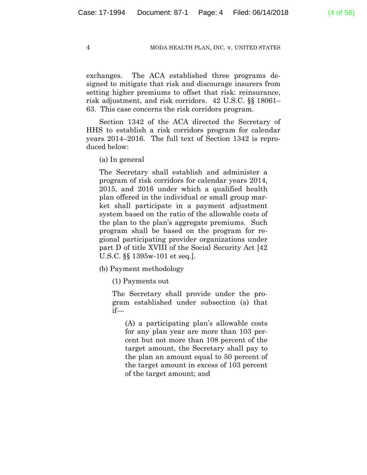exchanges. The ACA established three programs designed to mitigate that risk and discourage insurers from setting higher premiums to offset that risk: reinsurance, risk adjustment, and risk corridors. 42 U.S.C. §§ 18061– 63. This case concerns the risk corridors program.

Section 1342 of the ACA directed the Secretary of HHS to establish a risk corridors program for calendar years 2014–2016. The full text of Section 1342 is reproduced below:

(a) In general

The Secretary shall establish and administer a program of risk corridors for calendar years 2014, 2015, and 2016 under which a qualified health plan offered in the individual or small group market shall participate in a payment adjustment system based on the ratio of the allowable costs of the plan to the plan's aggregate premiums. Such program shall be based on the program for regional participating provider organizations under part D of title XVIII of the Social Security Act [42 U.S.C. §§ 1395w-101 et seq.].

(b) Payment methodology

(1) Payments out

The Secretary shall provide under the program established under subsection (a) that if—

(A) a participating plan's allowable costs for any plan year are more than 103 percent but not more than 108 percent of the target amount, the Secretary shall pay to the plan an amount equal to 50 percent of the target amount in excess of 103 percent of the target amount; and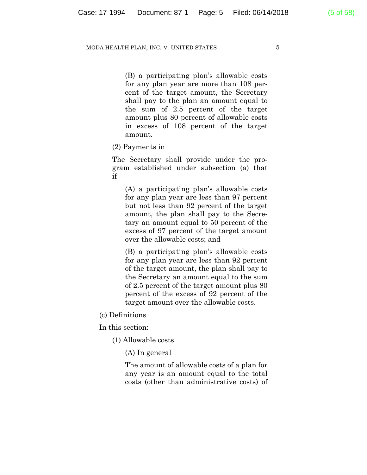(B) a participating plan's allowable costs for any plan year are more than 108 percent of the target amount, the Secretary shall pay to the plan an amount equal to the sum of 2.5 percent of the target amount plus 80 percent of allowable costs in excess of 108 percent of the target amount.

### (2) Payments in

The Secretary shall provide under the program established under subsection (a) that if—

(A) a participating plan's allowable costs for any plan year are less than 97 percent but not less than 92 percent of the target amount, the plan shall pay to the Secretary an amount equal to 50 percent of the excess of 97 percent of the target amount over the allowable costs; and

(B) a participating plan's allowable costs for any plan year are less than 92 percent of the target amount, the plan shall pay to the Secretary an amount equal to the sum of 2.5 percent of the target amount plus 80 percent of the excess of 92 percent of the target amount over the allowable costs.

(c) Definitions

In this section:

(1) Allowable costs

(A) In general

The amount of allowable costs of a plan for any year is an amount equal to the total costs (other than administrative costs) of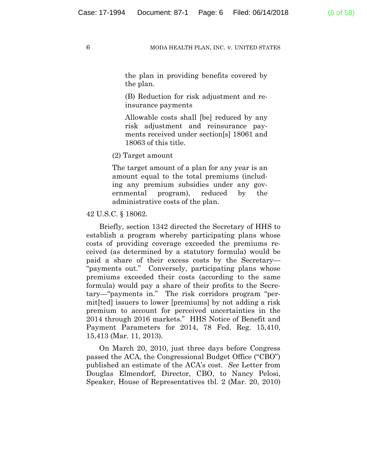the plan in providing benefits covered by the plan.

(B) Reduction for risk adjustment and reinsurance payments

Allowable costs shall [be] reduced by any risk adjustment and reinsurance payments received under section[s] 18061 and 18063 of this title.

(2) Target amount

The target amount of a plan for any year is an amount equal to the total premiums (including any premium subsidies under any governmental program), reduced by the administrative costs of the plan.

### 42 U.S.C. § 18062.

Briefly, section 1342 directed the Secretary of HHS to establish a program whereby participating plans whose costs of providing coverage exceeded the premiums received (as determined by a statutory formula) would be paid a share of their excess costs by the Secretary— "payments out." Conversely, participating plans whose premiums exceeded their costs (according to the same formula) would pay a share of their profits to the Secretary—"payments in." The risk corridors program "permit[ted] issuers to lower [premiums] by not adding a risk premium to account for perceived uncertainties in the 2014 through 2016 markets." HHS Notice of Benefit and Payment Parameters for 2014, 78 Fed. Reg. 15,410, 15,413 (Mar. 11, 2013).

On March 20, 2010, just three days before Congress passed the ACA, the Congressional Budget Office ("CBO") published an estimate of the ACA's cost. *See* Letter from Douglas Elmendorf, Director, CBO, to Nancy Pelosi, Speaker, House of Representatives tbl. 2 (Mar. 20, 2010)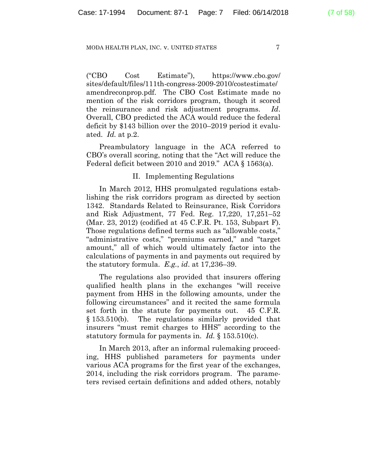("CBO Cost Estimate"), https://www.cbo.gov/ sites/default/files/111th-congress-2009-2010/costestimate/ amendreconprop.pdf. The CBO Cost Estimate made no mention of the risk corridors program, though it scored the reinsurance and risk adjustment programs. *Id*. Overall, CBO predicted the ACA would reduce the federal deficit by \$143 billion over the 2010–2019 period it evaluated. *Id.* at p.2.

Preambulatory language in the ACA referred to CBO's overall scoring, noting that the "Act will reduce the Federal deficit between 2010 and 2019." ACA § 1563(a).

# II. Implementing Regulations

In March 2012, HHS promulgated regulations establishing the risk corridors program as directed by section 1342. Standards Related to Reinsurance, Risk Corridors and Risk Adjustment, 77 Fed. Reg. 17,220, 17,251–52 (Mar. 23, 2012) (codified at 45 C.F.R. Pt. 153, Subpart F). Those regulations defined terms such as "allowable costs," "administrative costs," "premiums earned," and "target amount," all of which would ultimately factor into the calculations of payments in and payments out required by the statutory formula. *E.g.*, *id*. at 17,236–39.

The regulations also provided that insurers offering qualified health plans in the exchanges "will receive payment from HHS in the following amounts, under the following circumstances" and it recited the same formula set forth in the statute for payments out. 45 C.F.R. § 153.510(b). The regulations similarly provided that insurers "must remit charges to HHS" according to the statutory formula for payments in. *Id.* § 153.510(c).

In March 2013, after an informal rulemaking proceeding, HHS published parameters for payments under various ACA programs for the first year of the exchanges, 2014, including the risk corridors program. The parameters revised certain definitions and added others, notably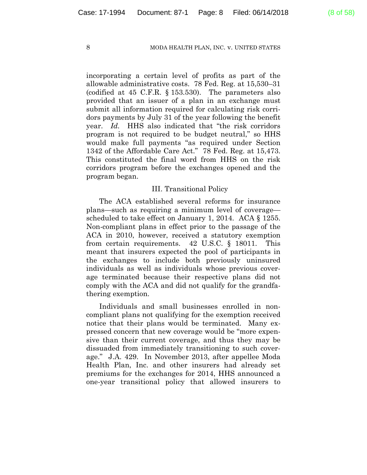incorporating a certain level of profits as part of the allowable administrative costs. 78 Fed. Reg. at 15,530–31 (codified at 45 C.F.R. § 153.530). The parameters also provided that an issuer of a plan in an exchange must submit all information required for calculating risk corridors payments by July 31 of the year following the benefit year. *Id.* HHS also indicated that "the risk corridors program is not required to be budget neutral," so HHS would make full payments "as required under Section 1342 of the Affordable Care Act." 78 Fed. Reg. at 15,473. This constituted the final word from HHS on the risk corridors program before the exchanges opened and the program began.

### III. Transitional Policy

The ACA established several reforms for insurance plans—such as requiring a minimum level of coverage scheduled to take effect on January 1, 2014. ACA § 1255. Non-compliant plans in effect prior to the passage of the ACA in 2010, however, received a statutory exemption from certain requirements. 42 U.S.C. § 18011. This meant that insurers expected the pool of participants in the exchanges to include both previously uninsured individuals as well as individuals whose previous coverage terminated because their respective plans did not comply with the ACA and did not qualify for the grandfathering exemption.

Individuals and small businesses enrolled in noncompliant plans not qualifying for the exemption received notice that their plans would be terminated. Many expressed concern that new coverage would be "more expensive than their current coverage, and thus they may be dissuaded from immediately transitioning to such coverage." J.A. 429. In November 2013, after appellee Moda Health Plan, Inc. and other insurers had already set premiums for the exchanges for 2014, HHS announced a one-year transitional policy that allowed insurers to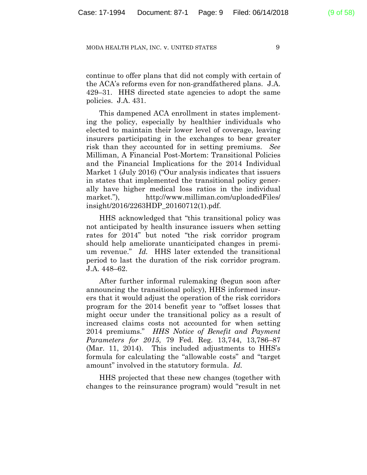continue to offer plans that did not comply with certain of the ACA's reforms even for non-grandfathered plans. J.A. 429–31. HHS directed state agencies to adopt the same policies. J.A. 431.

This dampened ACA enrollment in states implementing the policy, especially by healthier individuals who elected to maintain their lower level of coverage, leaving insurers participating in the exchanges to bear greater risk than they accounted for in setting premiums. *See*  Milliman, A Financial Post-Mortem: Transitional Policies and the Financial Implications for the 2014 Individual Market 1 (July 2016) ("Our analysis indicates that issuers in states that implemented the transitional policy generally have higher medical loss ratios in the individual market."), http://www.milliman.com/uploadedFiles/ insight/2016/2263HDP\_20160712(1).pdf.

HHS acknowledged that "this transitional policy was not anticipated by health insurance issuers when setting rates for 2014" but noted "the risk corridor program should help ameliorate unanticipated changes in premium revenue." *Id.* HHS later extended the transitional period to last the duration of the risk corridor program. J.A. 448–62.

After further informal rulemaking (begun soon after announcing the transitional policy), HHS informed insurers that it would adjust the operation of the risk corridors program for the 2014 benefit year to "offset losses that might occur under the transitional policy as a result of increased claims costs not accounted for when setting 2014 premiums." *HHS Notice of Benefit and Payment Parameters for 2015*, 79 Fed. Reg. 13,744, 13,786–87 (Mar. 11, 2014). This included adjustments to HHS's formula for calculating the "allowable costs" and "target amount" involved in the statutory formula. *Id.*

HHS projected that these new changes (together with changes to the reinsurance program) would "result in net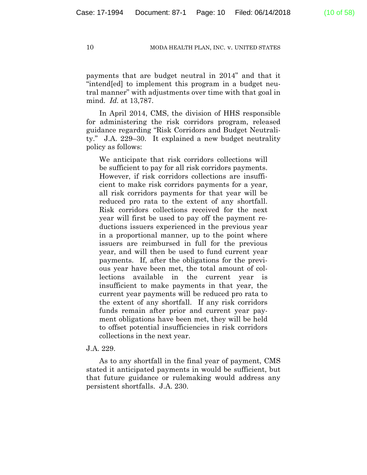payments that are budget neutral in 2014" and that it "intend[ed] to implement this program in a budget neutral manner" with adjustments over time with that goal in mind. *Id.* at 13,787.

In April 2014, CMS, the division of HHS responsible for administering the risk corridors program, released guidance regarding "Risk Corridors and Budget Neutrality." J.A. 229–30. It explained a new budget neutrality policy as follows:

We anticipate that risk corridors collections will be sufficient to pay for all risk corridors payments. However, if risk corridors collections are insufficient to make risk corridors payments for a year, all risk corridors payments for that year will be reduced pro rata to the extent of any shortfall. Risk corridors collections received for the next year will first be used to pay off the payment reductions issuers experienced in the previous year in a proportional manner, up to the point where issuers are reimbursed in full for the previous year, and will then be used to fund current year payments. If, after the obligations for the previous year have been met, the total amount of collections available in the current year is insufficient to make payments in that year, the current year payments will be reduced pro rata to the extent of any shortfall. If any risk corridors funds remain after prior and current year payment obligations have been met, they will be held to offset potential insufficiencies in risk corridors collections in the next year.

# J.A. 229.

As to any shortfall in the final year of payment, CMS stated it anticipated payments in would be sufficient, but that future guidance or rulemaking would address any persistent shortfalls. J.A. 230.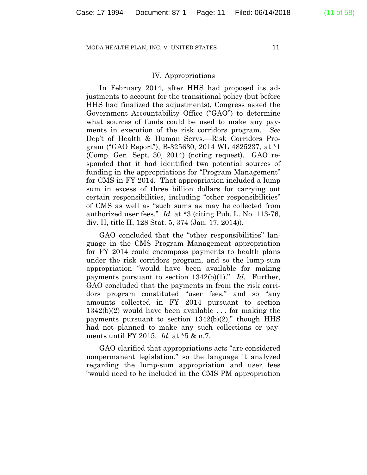### IV. Appropriations

In February 2014, after HHS had proposed its adjustments to account for the transitional policy (but before HHS had finalized the adjustments), Congress asked the Government Accountability Office ("GAO") to determine what sources of funds could be used to make any payments in execution of the risk corridors program. *See*  Dep't of Health & Human Servs.—Risk Corridors Program ("GAO Report"), B-325630, 2014 WL 4825237, at \*1 (Comp. Gen. Sept. 30, 2014) (noting request). GAO responded that it had identified two potential sources of funding in the appropriations for "Program Management" for CMS in FY 2014. That appropriation included a lump sum in excess of three billion dollars for carrying out certain responsibilities, including "other responsibilities" of CMS as well as "such sums as may be collected from authorized user fees." *Id.* at \*3 (citing Pub. L. No. 113-76, div. H, title II, 128 Stat. 5, 374 (Jan. 17, 2014)).

GAO concluded that the "other responsibilities" language in the CMS Program Management appropriation for FY 2014 could encompass payments to health plans under the risk corridors program, and so the lump-sum appropriation "would have been available for making payments pursuant to section 1342(b)(1)." *Id.* Further, GAO concluded that the payments in from the risk corridors program constituted "user fees," and so "any amounts collected in FY 2014 pursuant to section 1342(b)(2) would have been available . . . for making the payments pursuant to section  $1342(b)(2)$ ," though HHS had not planned to make any such collections or payments until FY 2015. *Id.* at \*5 & n.7.

GAO clarified that appropriations acts "are considered nonpermanent legislation," so the language it analyzed regarding the lump-sum appropriation and user fees "would need to be included in the CMS PM appropriation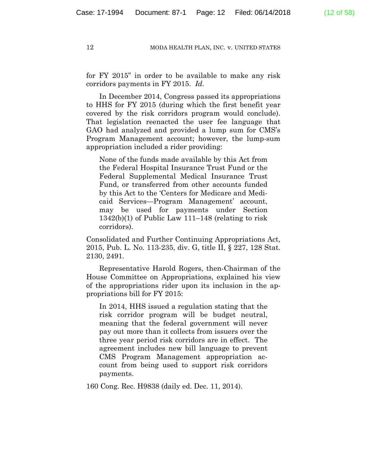for FY 2015" in order to be available to make any risk corridors payments in FY 2015. *Id.*

In December 2014, Congress passed its appropriations to HHS for FY 2015 (during which the first benefit year covered by the risk corridors program would conclude). That legislation reenacted the user fee language that GAO had analyzed and provided a lump sum for CMS's Program Management account; however, the lump-sum appropriation included a rider providing:

None of the funds made available by this Act from the Federal Hospital Insurance Trust Fund or the Federal Supplemental Medical Insurance Trust Fund, or transferred from other accounts funded by this Act to the 'Centers for Medicare and Medicaid Services—Program Management' account, may be used for payments under Section 1342(b)(1) of Public Law 111–148 (relating to risk corridors).

Consolidated and Further Continuing Appropriations Act, 2015, Pub. L. No. 113-235, div. G, title II, § 227, 128 Stat. 2130, 2491.

Representative Harold Rogers, then-Chairman of the House Committee on Appropriations, explained his view of the appropriations rider upon its inclusion in the appropriations bill for FY 2015:

In 2014, HHS issued a regulation stating that the risk corridor program will be budget neutral, meaning that the federal government will never pay out more than it collects from issuers over the three year period risk corridors are in effect. The agreement includes new bill language to prevent CMS Program Management appropriation account from being used to support risk corridors payments.

160 Cong. Rec. H9838 (daily ed. Dec. 11, 2014).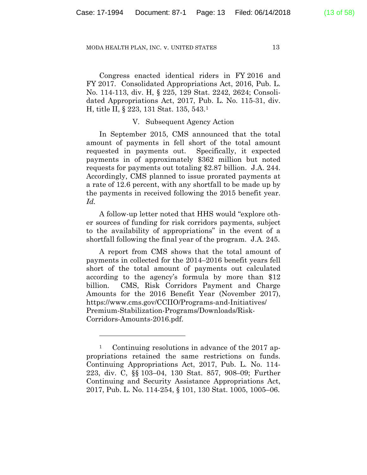Congress enacted identical riders in FY 2016 and FY 2017. Consolidated Appropriations Act, 2016, Pub. L. No. 114-113, div. H, § 225, 129 Stat. 2242, 2624; Consolidated Appropriations Act, 2017, Pub. L. No. 115-31, div. H, title II, § 223, 131 Stat. 135, 543.1

### V. Subsequent Agency Action

In September 2015, CMS announced that the total amount of payments in fell short of the total amount requested in payments out. Specifically, it expected payments in of approximately \$362 million but noted requests for payments out totaling \$2.87 billion. J.A. 244. Accordingly, CMS planned to issue prorated payments at a rate of 12.6 percent, with any shortfall to be made up by the payments in received following the 2015 benefit year. *Id.*

A follow-up letter noted that HHS would "explore other sources of funding for risk corridors payments, subject to the availability of appropriations" in the event of a shortfall following the final year of the program. J.A. 245.

A report from CMS shows that the total amount of payments in collected for the 2014–2016 benefit years fell short of the total amount of payments out calculated according to the agency's formula by more than \$12 billion. CMS, Risk Corridors Payment and Charge Amounts for the 2016 Benefit Year (November 2017), https://www.cms.gov/CCIIO/Programs-and-Initiatives/ Premium-Stabilization-Programs/Downloads/Risk-Corridors-Amounts-2016.pdf.

<sup>&</sup>lt;sup>1</sup> Continuing resolutions in advance of the 2017 appropriations retained the same restrictions on funds. Continuing Appropriations Act, 2017, Pub. L. No. 114- 223, div. C, §§ 103–04, 130 Stat. 857, 908–09; Further Continuing and Security Assistance Appropriations Act, 2017, Pub. L. No. 114-254, § 101, 130 Stat. 1005, 1005–06.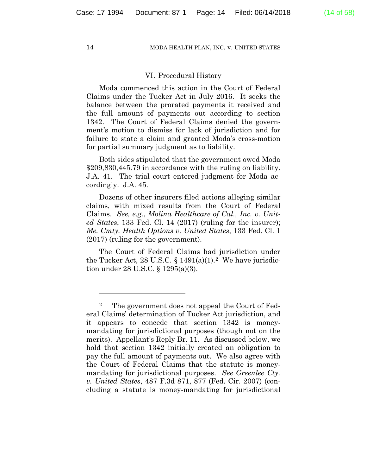### VI. Procedural History

Moda commenced this action in the Court of Federal Claims under the Tucker Act in July 2016. It seeks the balance between the prorated payments it received and the full amount of payments out according to section 1342. The Court of Federal Claims denied the government's motion to dismiss for lack of jurisdiction and for failure to state a claim and granted Moda's cross-motion for partial summary judgment as to liability.

Both sides stipulated that the government owed Moda \$209,830,445.79 in accordance with the ruling on liability. J.A. 41. The trial court entered judgment for Moda accordingly. J.A. 45.

Dozens of other insurers filed actions alleging similar claims, with mixed results from the Court of Federal Claims. *See, e.g.*, *Molina Healthcare of Cal., Inc. v. United States*, 133 Fed. Cl. 14 (2017) (ruling for the insurer); *Me. Cmty. Health Options v. United States*, 133 Fed. Cl. 1 (2017) (ruling for the government).

The Court of Federal Claims had jurisdiction under the Tucker Act, 28 U.S.C.  $\S 1491(a)(1)$ . We have jurisdiction under 28 U.S.C. § 1295(a)(3).

<sup>&</sup>lt;sup>2</sup> The government does not appeal the Court of Federal Claims' determination of Tucker Act jurisdiction, and it appears to concede that section 1342 is moneymandating for jurisdictional purposes (though not on the merits). Appellant's Reply Br. 11. As discussed below, we hold that section 1342 initially created an obligation to pay the full amount of payments out. We also agree with the Court of Federal Claims that the statute is moneymandating for jurisdictional purposes. *See Greenlee Cty. v. United States*, 487 F.3d 871, 877 (Fed. Cir. 2007) (concluding a statute is money-mandating for jurisdictional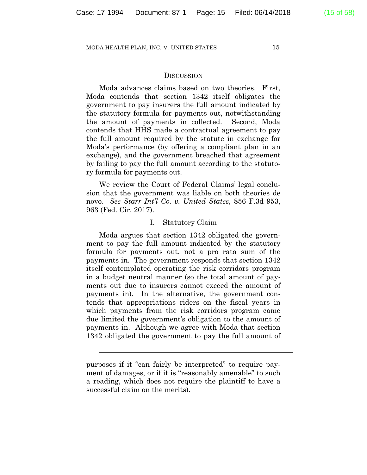# **DISCUSSION**

Moda advances claims based on two theories. First, Moda contends that section 1342 itself obligates the government to pay insurers the full amount indicated by the statutory formula for payments out, notwithstanding the amount of payments in collected. Second, Moda contends that HHS made a contractual agreement to pay the full amount required by the statute in exchange for Moda's performance (by offering a compliant plan in an exchange), and the government breached that agreement by failing to pay the full amount according to the statutory formula for payments out.

We review the Court of Federal Claims' legal conclusion that the government was liable on both theories de novo. *See Starr Int'l Co. v. United States*, 856 F.3d 953, 963 (Fed. Cir. 2017).

### I. Statutory Claim

Moda argues that section 1342 obligated the government to pay the full amount indicated by the statutory formula for payments out, not a pro rata sum of the payments in. The government responds that section 1342 itself contemplated operating the risk corridors program in a budget neutral manner (so the total amount of payments out due to insurers cannot exceed the amount of payments in). In the alternative, the government contends that appropriations riders on the fiscal years in which payments from the risk corridors program came due limited the government's obligation to the amount of payments in. Although we agree with Moda that section 1342 obligated the government to pay the full amount of

 $\overline{a}$ 

purposes if it "can fairly be interpreted" to require payment of damages, or if it is "reasonably amenable" to such a reading, which does not require the plaintiff to have a successful claim on the merits).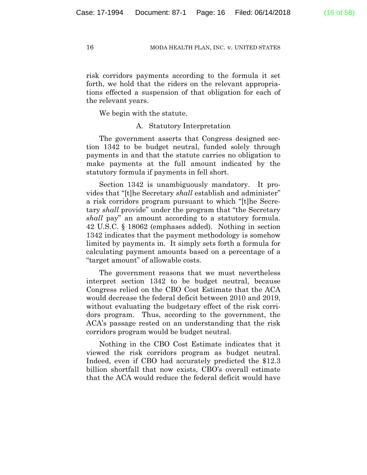risk corridors payments according to the formula it set forth, we hold that the riders on the relevant appropriations effected a suspension of that obligation for each of the relevant years.

We begin with the statute.

# A. Statutory Interpretation

The government asserts that Congress designed section 1342 to be budget neutral, funded solely through payments in and that the statute carries no obligation to make payments at the full amount indicated by the statutory formula if payments in fell short.

Section 1342 is unambiguously mandatory. It provides that "[t]he Secretary *shall* establish and administer" a risk corridors program pursuant to which "[t]he Secretary *shall* provide" under the program that "the Secretary *shall* pay" an amount according to a statutory formula. 42 U.S.C. § 18062 (emphases added). Nothing in section 1342 indicates that the payment methodology is somehow limited by payments in. It simply sets forth a formula for calculating payment amounts based on a percentage of a "target amount" of allowable costs.

The government reasons that we must nevertheless interpret section 1342 to be budget neutral, because Congress relied on the CBO Cost Estimate that the ACA would decrease the federal deficit between 2010 and 2019, without evaluating the budgetary effect of the risk corridors program. Thus, according to the government, the ACA's passage rested on an understanding that the risk corridors program would be budget neutral.

Nothing in the CBO Cost Estimate indicates that it viewed the risk corridors program as budget neutral. Indeed, even if CBO had accurately predicted the \$12.3 billion shortfall that now exists, CBO's overall estimate that the ACA would reduce the federal deficit would have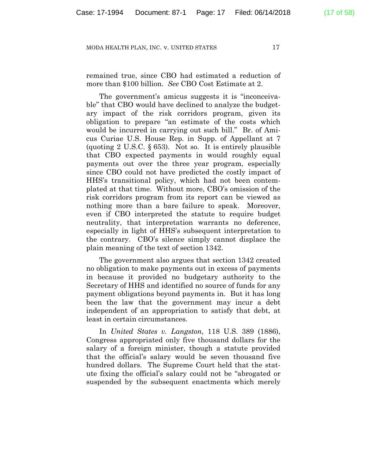remained true, since CBO had estimated a reduction of more than \$100 billion. *See* CBO Cost Estimate at 2.

The government's amicus suggests it is "inconceivable" that CBO would have declined to analyze the budgetary impact of the risk corridors program, given its obligation to prepare "an estimate of the costs which would be incurred in carrying out such bill." Br. of Amicus Curiae U.S. House Rep. in Supp. of Appellant at 7 (quoting 2 U.S.C. § 653). Not so. It is entirely plausible that CBO expected payments in would roughly equal payments out over the three year program, especially since CBO could not have predicted the costly impact of HHS's transitional policy, which had not been contemplated at that time. Without more, CBO's omission of the risk corridors program from its report can be viewed as nothing more than a bare failure to speak. Moreover, even if CBO interpreted the statute to require budget neutrality, that interpretation warrants no deference, especially in light of HHS's subsequent interpretation to the contrary. CBO's silence simply cannot displace the plain meaning of the text of section 1342.

The government also argues that section 1342 created no obligation to make payments out in excess of payments in because it provided no budgetary authority to the Secretary of HHS and identified no source of funds for any payment obligations beyond payments in. But it has long been the law that the government may incur a debt independent of an appropriation to satisfy that debt, at least in certain circumstances.

In *United States v. Langston*, 118 U.S. 389 (1886), Congress appropriated only five thousand dollars for the salary of a foreign minister, though a statute provided that the official's salary would be seven thousand five hundred dollars. The Supreme Court held that the statute fixing the official's salary could not be "abrogated or suspended by the subsequent enactments which merely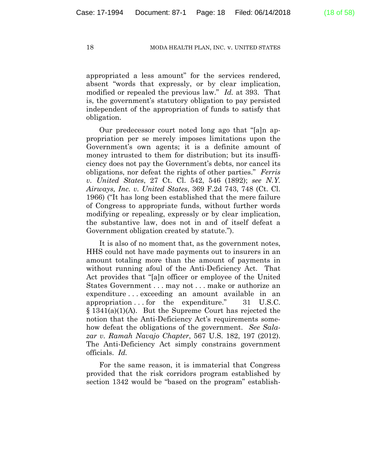appropriated a less amount" for the services rendered, absent "words that expressly, or by clear implication, modified or repealed the previous law." *Id.* at 393. That is, the government's statutory obligation to pay persisted independent of the appropriation of funds to satisfy that obligation.

Our predecessor court noted long ago that "[a]n appropriation per se merely imposes limitations upon the Government's own agents; it is a definite amount of money intrusted to them for distribution; but its insufficiency does not pay the Government's debts, nor cancel its obligations, nor defeat the rights of other parties." *Ferris v. United States*, 27 Ct. Cl. 542, 546 (1892); *see N.Y. Airways, Inc. v. United States*, 369 F.2d 743, 748 (Ct. Cl. 1966) ("It has long been established that the mere failure of Congress to appropriate funds, without further words modifying or repealing, expressly or by clear implication, the substantive law, does not in and of itself defeat a Government obligation created by statute.").

It is also of no moment that, as the government notes, HHS could not have made payments out to insurers in an amount totaling more than the amount of payments in without running afoul of the Anti-Deficiency Act. That Act provides that "[a]n officer or employee of the United States Government . . . may not . . . make or authorize an expenditure . . . exceeding an amount available in an appropriation . . . for the expenditure." 31 U.S.C. § 1341(a)(1)(A). But the Supreme Court has rejected the notion that the Anti-Deficiency Act's requirements somehow defeat the obligations of the government. *See Salazar v. Ramah Navajo Chapter*, 567 U.S. 182, 197 (2012). The Anti-Deficiency Act simply constrains government officials. *Id.*

For the same reason, it is immaterial that Congress provided that the risk corridors program established by section 1342 would be "based on the program" establish-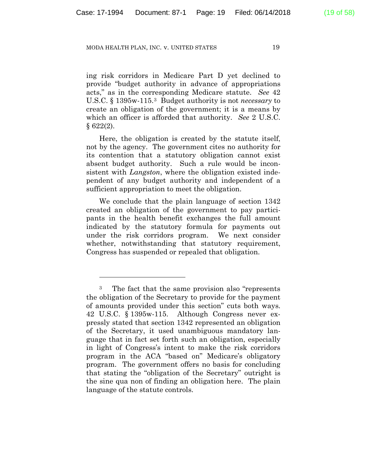ing risk corridors in Medicare Part D yet declined to provide "budget authority in advance of appropriations acts," as in the corresponding Medicare statute. *See* 42 U.S.C. § 1395w-115.3 Budget authority is not *necessary* to create an obligation of the government; it is a means by which an officer is afforded that authority. *See* 2 U.S.C. § 622(2).

Here, the obligation is created by the statute itself, not by the agency. The government cites no authority for its contention that a statutory obligation cannot exist absent budget authority. Such a rule would be inconsistent with *Langston*, where the obligation existed independent of any budget authority and independent of a sufficient appropriation to meet the obligation.

We conclude that the plain language of section 1342 created an obligation of the government to pay participants in the health benefit exchanges the full amount indicated by the statutory formula for payments out under the risk corridors program. We next consider whether, notwithstanding that statutory requirement, Congress has suspended or repealed that obligation.

<sup>&</sup>lt;sup>3</sup> The fact that the same provision also "represents" the obligation of the Secretary to provide for the payment of amounts provided under this section" cuts both ways. 42 U.S.C. § 1395w-115. Although Congress never expressly stated that section 1342 represented an obligation of the Secretary, it used unambiguous mandatory language that in fact set forth such an obligation, especially in light of Congress's intent to make the risk corridors program in the ACA "based on" Medicare's obligatory program. The government offers no basis for concluding that stating the "obligation of the Secretary" outright is the sine qua non of finding an obligation here. The plain language of the statute controls.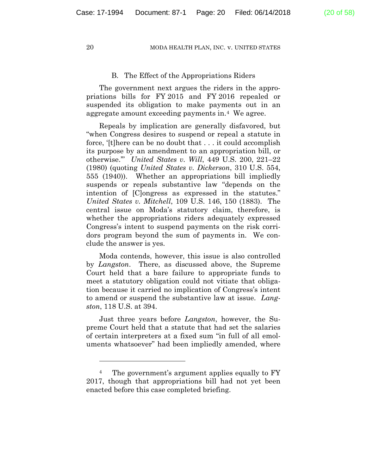# B. The Effect of the Appropriations Riders

The government next argues the riders in the appropriations bills for FY 2015 and FY 2016 repealed or suspended its obligation to make payments out in an aggregate amount exceeding payments in.4 We agree.

Repeals by implication are generally disfavored, but "when Congress desires to suspend or repeal a statute in force, '[t]here can be no doubt that . . . it could accomplish its purpose by an amendment to an appropriation bill, or otherwise.'" *United States v. Will*, 449 U.S. 200, 221–22 (1980) (quoting *United States v. Dickerson*, 310 U.S. 554, 555 (1940)). Whether an appropriations bill impliedly suspends or repeals substantive law "depends on the intention of [C]ongress as expressed in the statutes." *United States v. Mitchell*, 109 U.S. 146, 150 (1883). The central issue on Moda's statutory claim, therefore, is whether the appropriations riders adequately expressed Congress's intent to suspend payments on the risk corridors program beyond the sum of payments in. We conclude the answer is yes.

Moda contends, however, this issue is also controlled by *Langston*. There, as discussed above, the Supreme Court held that a bare failure to appropriate funds to meet a statutory obligation could not vitiate that obligation because it carried no implication of Congress's intent to amend or suspend the substantive law at issue. *Langston*, 118 U.S. at 394.

Just three years before *Langston*, however, the Supreme Court held that a statute that had set the salaries of certain interpreters at a fixed sum "in full of all emoluments whatsoever" had been impliedly amended, where

<sup>&</sup>lt;sup>4</sup> The government's argument applies equally to FY 2017, though that appropriations bill had not yet been enacted before this case completed briefing.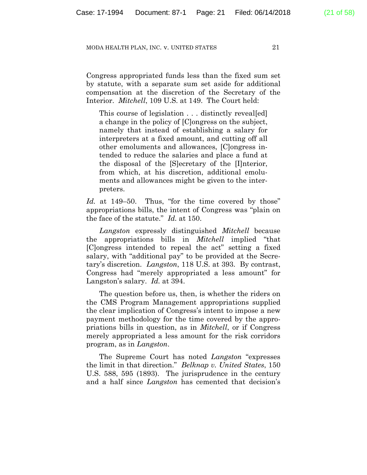Congress appropriated funds less than the fixed sum set by statute, with a separate sum set aside for additional compensation at the discretion of the Secretary of the Interior. *Mitchell*, 109 U.S. at 149. The Court held:

This course of legislation . . . distinctly reveal [ed] a change in the policy of [C]ongress on the subject, namely that instead of establishing a salary for interpreters at a fixed amount, and cutting off all other emoluments and allowances, [C]ongress intended to reduce the salaries and place a fund at the disposal of the [S]ecretary of the [I]nterior, from which, at his discretion, additional emoluments and allowances might be given to the interpreters.

Id. at 149–50. Thus, "for the time covered by those" appropriations bills, the intent of Congress was "plain on the face of the statute." *Id.* at 150.

*Langston* expressly distinguished *Mitchell* because the appropriations bills in *Mitchell* implied "that [C]ongress intended to repeal the act" setting a fixed salary, with "additional pay" to be provided at the Secretary's discretion. *Langston*, 118 U.S. at 393. By contrast, Congress had "merely appropriated a less amount" for Langston's salary. *Id.* at 394.

The question before us, then, is whether the riders on the CMS Program Management appropriations supplied the clear implication of Congress's intent to impose a new payment methodology for the time covered by the appropriations bills in question, as in *Mitchell*, or if Congress merely appropriated a less amount for the risk corridors program, as in *Langston*.

The Supreme Court has noted *Langston* "expresses the limit in that direction." *Belknap v. United States*, 150 U.S. 588, 595 (1893). The jurisprudence in the century and a half since *Langston* has cemented that decision's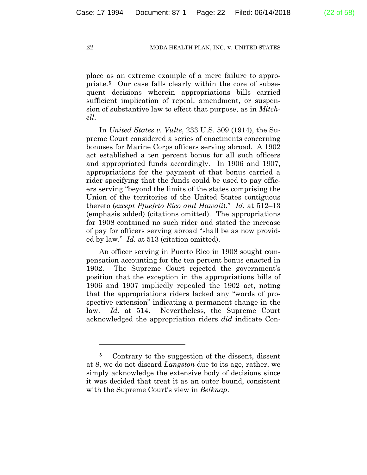place as an extreme example of a mere failure to appropriate.5 Our case falls clearly within the core of subsequent decisions wherein appropriations bills carried sufficient implication of repeal, amendment, or suspension of substantive law to effect that purpose, as in *Mitchell*.

In *United States v. Vulte*, 233 U.S. 509 (1914), the Supreme Court considered a series of enactments concerning bonuses for Marine Corps officers serving abroad. A 1902 act established a ten percent bonus for all such officers and appropriated funds accordingly. In 1906 and 1907, appropriations for the payment of that bonus carried a rider specifying that the funds could be used to pay officers serving "beyond the limits of the states comprising the Union of the territories of the United States contiguous thereto (*except P[ue]rto Rico and Hawaii*)." *Id.* at 512–13 (emphasis added) (citations omitted). The appropriations for 1908 contained no such rider and stated the increase of pay for officers serving abroad "shall be as now provided by law." *Id.* at 513 (citation omitted).

An officer serving in Puerto Rico in 1908 sought compensation accounting for the ten percent bonus enacted in 1902. The Supreme Court rejected the government's position that the exception in the appropriations bills of 1906 and 1907 impliedly repealed the 1902 act, noting that the appropriations riders lacked any "words of prospective extension" indicating a permanent change in the law. *Id.* at 514. Nevertheless, the Supreme Court acknowledged the appropriation riders *did* indicate Con-

1

<sup>5</sup> Contrary to the suggestion of the dissent, dissent at 8, we do not discard *Langston* due to its age, rather, we simply acknowledge the extensive body of decisions since it was decided that treat it as an outer bound, consistent with the Supreme Court's view in *Belknap*.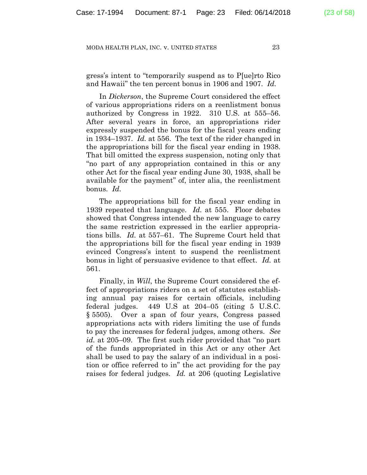gress's intent to "temporarily suspend as to P[ue]rto Rico and Hawaii" the ten percent bonus in 1906 and 1907. *Id.*

In *Dickerson*, the Supreme Court considered the effect of various appropriations riders on a reenlistment bonus authorized by Congress in 1922. 310 U.S. at 555–56. After several years in force, an appropriations rider expressly suspended the bonus for the fiscal years ending in 1934–1937. *Id.* at 556. The text of the rider changed in the appropriations bill for the fiscal year ending in 1938. That bill omitted the express suspension, noting only that "no part of any appropriation contained in this or any other Act for the fiscal year ending June 30, 1938, shall be available for the payment" of, inter alia, the reenlistment bonus. *Id.*

The appropriations bill for the fiscal year ending in 1939 repeated that language. *Id.* at 555. Floor debates showed that Congress intended the new language to carry the same restriction expressed in the earlier appropriations bills. *Id.* at 557–61. The Supreme Court held that the appropriations bill for the fiscal year ending in 1939 evinced Congress's intent to suspend the reenlistment bonus in light of persuasive evidence to that effect. *Id.* at 561.

Finally, in *Will*, the Supreme Court considered the effect of appropriations riders on a set of statutes establishing annual pay raises for certain officials, including federal judges. 449 U.S at 204–05 (citing 5 U.S.C. § 5505). Over a span of four years, Congress passed appropriations acts with riders limiting the use of funds to pay the increases for federal judges, among others. *See id.* at 205–09. The first such rider provided that "no part of the funds appropriated in this Act or any other Act shall be used to pay the salary of an individual in a position or office referred to in" the act providing for the pay raises for federal judges. *Id.* at 206 (quoting Legislative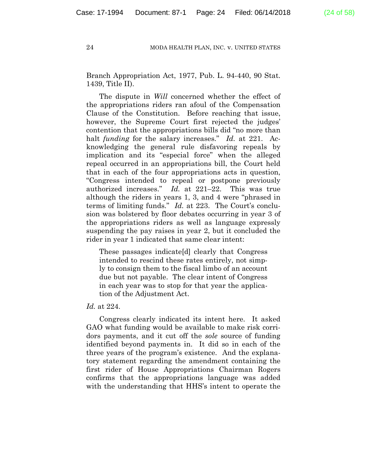Branch Appropriation Act, 1977, Pub. L. 94-440, 90 Stat. 1439, Title II).

The dispute in *Will* concerned whether the effect of the appropriations riders ran afoul of the Compensation Clause of the Constitution. Before reaching that issue, however, the Supreme Court first rejected the judges' contention that the appropriations bills did "no more than halt *funding* for the salary increases." *Id.* at 221. Acknowledging the general rule disfavoring repeals by implication and its "especial force" when the alleged repeal occurred in an appropriations bill, the Court held that in each of the four appropriations acts in question, "Congress intended to repeal or postpone previously authorized increases." *Id.* at 221–22. This was true although the riders in years 1, 3, and 4 were "phrased in terms of limiting funds." *Id.* at 223. The Court's conclusion was bolstered by floor debates occurring in year 3 of the appropriations riders as well as language expressly suspending the pay raises in year 2, but it concluded the rider in year 1 indicated that same clear intent:

These passages indicate[d] clearly that Congress intended to rescind these rates entirely, not simply to consign them to the fiscal limbo of an account due but not payable. The clear intent of Congress in each year was to stop for that year the application of the Adjustment Act.

# *Id.* at 224.

Congress clearly indicated its intent here. It asked GAO what funding would be available to make risk corridors payments, and it cut off the *sole* source of funding identified beyond payments in. It did so in each of the three years of the program's existence. And the explanatory statement regarding the amendment containing the first rider of House Appropriations Chairman Rogers confirms that the appropriations language was added with the understanding that HHS's intent to operate the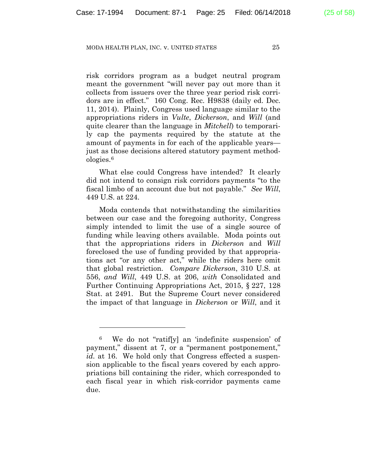risk corridors program as a budget neutral program meant the government "will never pay out more than it collects from issuers over the three year period risk corridors are in effect." 160 Cong. Rec. H9838 (daily ed. Dec. 11, 2014). Plainly, Congress used language similar to the appropriations riders in *Vulte*, *Dickerson*, and *Will* (and quite clearer than the language in *Mitchell*) to temporarily cap the payments required by the statute at the amount of payments in for each of the applicable years just as those decisions altered statutory payment methodologies.6

What else could Congress have intended? It clearly did not intend to consign risk corridors payments "to the fiscal limbo of an account due but not payable." *See Will*, 449 U.S. at 224.

Moda contends that notwithstanding the similarities between our case and the foregoing authority, Congress simply intended to limit the use of a single source of funding while leaving others available. Moda points out that the appropriations riders in *Dickerson* and *Will* foreclosed the use of funding provided by that appropriations act "or any other act," while the riders here omit that global restriction. *Compare Dickerson*, 310 U.S. at 556, *and Will*, 449 U.S. at 206, *with* Consolidated and Further Continuing Appropriations Act, 2015, § 227, 128 Stat. at 2491. But the Supreme Court never considered the impact of that language in *Dickerson* or *Will*, and it

<u>.</u>

<sup>6</sup> We do not "ratif[y] an 'indefinite suspension' of payment," dissent at 7, or a "permanent postponement," *id.* at 16. We hold only that Congress effected a suspension applicable to the fiscal years covered by each appropriations bill containing the rider, which corresponded to each fiscal year in which risk-corridor payments came due.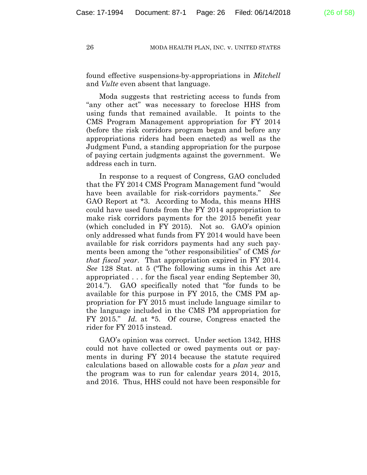found effective suspensions-by-appropriations in *Mitchell* and *Vulte* even absent that language.

Moda suggests that restricting access to funds from "any other act" was necessary to foreclose HHS from using funds that remained available. It points to the CMS Program Management appropriation for FY 2014 (before the risk corridors program began and before any appropriations riders had been enacted) as well as the Judgment Fund, a standing appropriation for the purpose of paying certain judgments against the government. We address each in turn.

In response to a request of Congress, GAO concluded that the FY 2014 CMS Program Management fund "would have been available for risk-corridors payments." *See* GAO Report at \*3. According to Moda, this means HHS could have used funds from the FY 2014 appropriation to make risk corridors payments for the 2015 benefit year (which concluded in FY 2015). Not so. GAO's opinion only addressed what funds from FY 2014 would have been available for risk corridors payments had any such payments been among the "other responsibilities" of CMS *for that fiscal year*. That appropriation expired in FY 2014. *See* 128 Stat. at 5 ("The following sums in this Act are appropriated . . . for the fiscal year ending September 30, 2014."). GAO specifically noted that "for funds to be available for this purpose in FY 2015, the CMS PM appropriation for FY 2015 must include language similar to the language included in the CMS PM appropriation for FY 2015." *Id.* at \*5. Of course, Congress enacted the rider for FY 2015 instead.

GAO's opinion was correct. Under section 1342, HHS could not have collected or owed payments out or payments in during FY 2014 because the statute required calculations based on allowable costs for a *plan year* and the program was to run for calendar years 2014, 2015, and 2016. Thus, HHS could not have been responsible for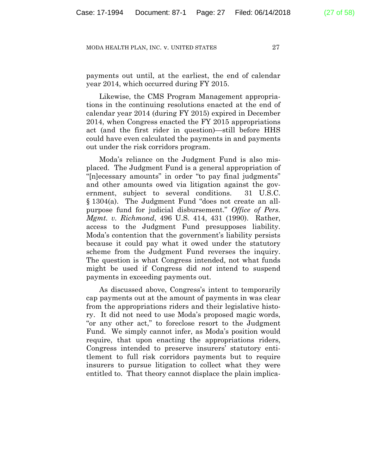payments out until, at the earliest, the end of calendar year 2014, which occurred during FY 2015.

Likewise, the CMS Program Management appropriations in the continuing resolutions enacted at the end of calendar year 2014 (during FY 2015) expired in December 2014, when Congress enacted the FY 2015 appropriations act (and the first rider in question)—still before HHS could have even calculated the payments in and payments out under the risk corridors program.

Moda's reliance on the Judgment Fund is also misplaced. The Judgment Fund is a general appropriation of "[n]ecessary amounts" in order "to pay final judgments" and other amounts owed via litigation against the government, subject to several conditions. 31 U.S.C. § 1304(a). The Judgment Fund "does not create an allpurpose fund for judicial disbursement." *Office of Pers. Mgmt. v. Richmond*, 496 U.S. 414, 431 (1990). Rather, access to the Judgment Fund presupposes liability. Moda's contention that the government's liability persists because it could pay what it owed under the statutory scheme from the Judgment Fund reverses the inquiry. The question is what Congress intended, not what funds might be used if Congress did *not* intend to suspend payments in exceeding payments out.

As discussed above, Congress's intent to temporarily cap payments out at the amount of payments in was clear from the appropriations riders and their legislative history. It did not need to use Moda's proposed magic words, "or any other act," to foreclose resort to the Judgment Fund. We simply cannot infer, as Moda's position would require, that upon enacting the appropriations riders, Congress intended to preserve insurers' statutory entitlement to full risk corridors payments but to require insurers to pursue litigation to collect what they were entitled to. That theory cannot displace the plain implica-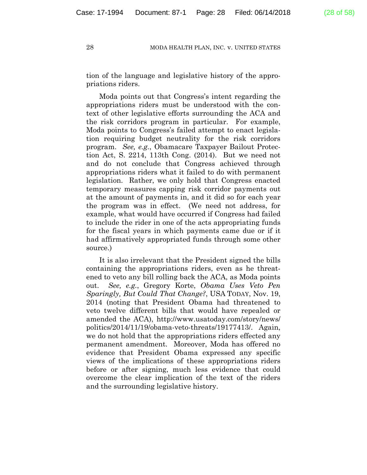tion of the language and legislative history of the appropriations riders.

Moda points out that Congress's intent regarding the appropriations riders must be understood with the context of other legislative efforts surrounding the ACA and the risk corridors program in particular. For example, Moda points to Congress's failed attempt to enact legislation requiring budget neutrality for the risk corridors program. *See, e.g.*, Obamacare Taxpayer Bailout Protection Act, S. 2214, 113th Cong. (2014). But we need not and do not conclude that Congress achieved through appropriations riders what it failed to do with permanent legislation. Rather, we only hold that Congress enacted temporary measures capping risk corridor payments out at the amount of payments in, and it did so for each year the program was in effect. (We need not address, for example, what would have occurred if Congress had failed to include the rider in one of the acts appropriating funds for the fiscal years in which payments came due or if it had affirmatively appropriated funds through some other source.)

It is also irrelevant that the President signed the bills containing the appropriations riders, even as he threatened to veto any bill rolling back the ACA, as Moda points out. *See, e.g.*, Gregory Korte, *Obama Uses Veto Pen Sparingly, But Could That Change?*, USA TODAY, Nov. 19, 2014 (noting that President Obama had threatened to veto twelve different bills that would have repealed or amended the ACA), http://www.usatoday.com/story/news/ politics/2014/11/19/obama-veto-threats/19177413/. Again, we do not hold that the appropriations riders effected any permanent amendment. Moreover, Moda has offered no evidence that President Obama expressed any specific views of the implications of these appropriations riders before or after signing, much less evidence that could overcome the clear implication of the text of the riders and the surrounding legislative history.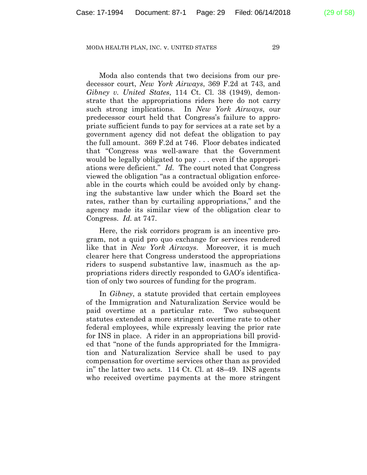Moda also contends that two decisions from our predecessor court, *New York Airways*, 369 F.2d at 743, and *Gibney v. United States*, 114 Ct. Cl. 38 (1949), demonstrate that the appropriations riders here do not carry such strong implications. In *New York Airways*, our predecessor court held that Congress's failure to appropriate sufficient funds to pay for services at a rate set by a government agency did not defeat the obligation to pay the full amount. 369 F.2d at 746. Floor debates indicated that "Congress was well-aware that the Government would be legally obligated to pay . . . even if the appropriations were deficient." *Id.* The court noted that Congress viewed the obligation "as a contractual obligation enforceable in the courts which could be avoided only by changing the substantive law under which the Board set the rates, rather than by curtailing appropriations," and the agency made its similar view of the obligation clear to Congress. *Id.* at 747.

Here, the risk corridors program is an incentive program, not a quid pro quo exchange for services rendered like that in *New York Airways*. Moreover, it is much clearer here that Congress understood the appropriations riders to suspend substantive law, inasmuch as the appropriations riders directly responded to GAO's identification of only two sources of funding for the program.

In *Gibney*, a statute provided that certain employees of the Immigration and Naturalization Service would be paid overtime at a particular rate. Two subsequent statutes extended a more stringent overtime rate to other federal employees, while expressly leaving the prior rate for INS in place. A rider in an appropriations bill provided that "none of the funds appropriated for the Immigration and Naturalization Service shall be used to pay compensation for overtime services other than as provided in" the latter two acts. 114 Ct. Cl. at 48–49. INS agents who received overtime payments at the more stringent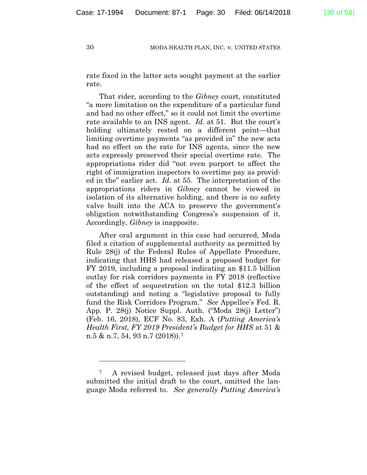rate fixed in the latter acts sought payment at the earlier rate.

That rider, according to the *Gibney* court, constituted "a mere limitation on the expenditure of a particular fund and had no other effect," so it could not limit the overtime rate available to an INS agent. *Id.* at 51. But the court's holding ultimately rested on a different point—that limiting overtime payments "as provided in" the new acts had no effect on the rate for INS agents, since the new acts expressly preserved their special overtime rate. The appropriations rider did "not even purport to affect the right of immigration inspectors to overtime pay as provided in the" earlier act. *Id.* at 55. The interpretation of the appropriations riders in *Gibney* cannot be viewed in isolation of its alternative holding, and there is no safety valve built into the ACA to preserve the government's obligation notwithstanding Congress's suspension of it. Accordingly, *Gibney* is inapposite.

After oral argument in this case had occurred, Moda filed a citation of supplemental authority as permitted by Rule 28(j) of the Federal Rules of Appellate Procedure, indicating that HHS had released a proposed budget for FY 2019, including a proposal indicating an \$11.5 billion outlay for risk corridors payments in FY 2018 (reflective of the effect of sequestration on the total \$12.3 billion outstanding) and noting a "legislative proposal to fully fund the Risk Corridors Program." *See* Appellee's Fed. R. App. P. 28(j) Notice Suppl. Auth. ("Moda 28(j) Letter") (Feb. 16, 2018), ECF No. 83, Exh. A (*Putting America's Health First, FY 2019 President's Budget for HHS* at 51 & n.5 & n.7, 54, 93 n.7 (2018)).7

1

<sup>7</sup> A revised budget, released just days after Moda submitted the initial draft to the court, omitted the language Moda referred to. *See generally Putting America's*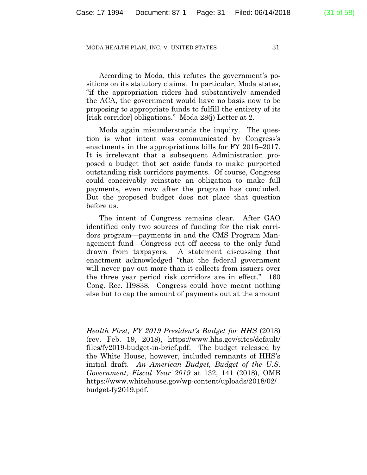According to Moda, this refutes the government's positions on its statutory claims. In particular, Moda states, "if the appropriation riders had substantively amended the ACA, the government would have no basis now to be proposing to appropriate funds to fulfill the entirety of its [risk corridor] obligations." Moda 28(j) Letter at 2.

Moda again misunderstands the inquiry. The question is what intent was communicated by Congress's enactments in the appropriations bills for FY 2015–2017. It is irrelevant that a subsequent Administration proposed a budget that set aside funds to make purported outstanding risk corridors payments. Of course, Congress could conceivably reinstate an obligation to make full payments, even now after the program has concluded. But the proposed budget does not place that question before us.

The intent of Congress remains clear. After GAO identified only two sources of funding for the risk corridors program—payments in and the CMS Program Management fund—Congress cut off access to the only fund drawn from taxpayers. A statement discussing that enactment acknowledged "that the federal government will never pay out more than it collects from issuers over the three year period risk corridors are in effect." 160 Cong. Rec. H9838. Congress could have meant nothing else but to cap the amount of payments out at the amount

*Health First, FY 2019 President's Budget for HHS* (2018) (rev. Feb. 19, 2018), https://www.hhs.gov/sites/default/ files/fy2019-budget-in-brief.pdf. The budget released by the White House, however, included remnants of HHS's initial draft. *An American Budget, Budget of the U.S. Government, Fiscal Year 2019* at 132, 141 (2018), OMB https://www.whitehouse.gov/wp-content/uploads/2018/02/ budget-fy2019.pdf.

l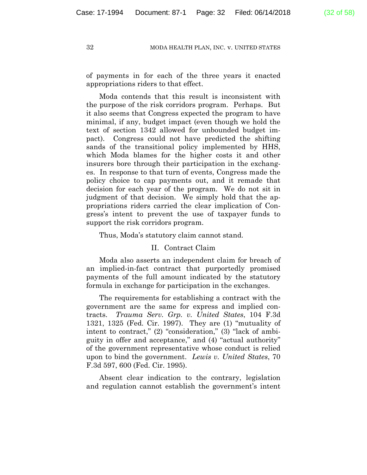of payments in for each of the three years it enacted

appropriations riders to that effect.

Moda contends that this result is inconsistent with the purpose of the risk corridors program. Perhaps. But it also seems that Congress expected the program to have minimal, if any, budget impact (even though we hold the text of section 1342 allowed for unbounded budget impact). Congress could not have predicted the shifting sands of the transitional policy implemented by HHS, which Moda blames for the higher costs it and other insurers bore through their participation in the exchanges. In response to that turn of events, Congress made the policy choice to cap payments out, and it remade that decision for each year of the program. We do not sit in judgment of that decision. We simply hold that the appropriations riders carried the clear implication of Congress's intent to prevent the use of taxpayer funds to support the risk corridors program.

Thus, Moda's statutory claim cannot stand.

# II. Contract Claim

Moda also asserts an independent claim for breach of an implied-in-fact contract that purportedly promised payments of the full amount indicated by the statutory formula in exchange for participation in the exchanges.

The requirements for establishing a contract with the government are the same for express and implied contracts. *Trauma Serv. Grp. v. United States*, 104 F.3d 1321, 1325 (Fed. Cir. 1997). They are (1) "mutuality of intent to contract," (2) "consideration," (3) "lack of ambiguity in offer and acceptance," and (4) "actual authority" of the government representative whose conduct is relied upon to bind the government. *Lewis v. United States*, 70 F.3d 597, 600 (Fed. Cir. 1995).

Absent clear indication to the contrary, legislation and regulation cannot establish the government's intent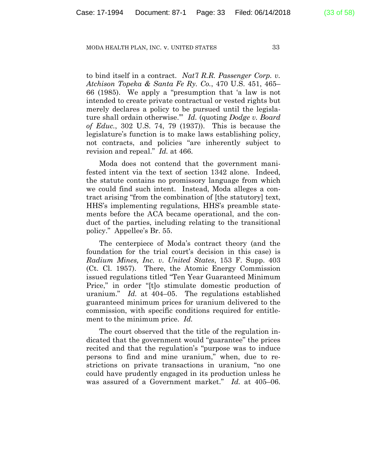to bind itself in a contract. *Nat'l R.R. Passenger Corp. v. Atchison Topeka & Santa Fe Ry. Co.*, 470 U.S. 451, 465– 66 (1985). We apply a "presumption that 'a law is not intended to create private contractual or vested rights but merely declares a policy to be pursued until the legislature shall ordain otherwise.'" *Id.* (quoting *Dodge v. Board of Educ.*, 302 U.S. 74, 79 (1937)). This is because the legislature's function is to make laws establishing policy, not contracts, and policies "are inherently subject to revision and repeal." *Id.* at 466.

Moda does not contend that the government manifested intent via the text of section 1342 alone. Indeed, the statute contains no promissory language from which we could find such intent. Instead, Moda alleges a contract arising "from the combination of [the statutory] text, HHS's implementing regulations, HHS's preamble statements before the ACA became operational, and the conduct of the parties, including relating to the transitional policy." Appellee's Br. 55.

The centerpiece of Moda's contract theory (and the foundation for the trial court's decision in this case) is *Radium Mines, Inc. v. United States*, 153 F. Supp. 403 (Ct. Cl. 1957). There, the Atomic Energy Commission issued regulations titled "Ten Year Guaranteed Minimum Price," in order "[t]o stimulate domestic production of uranium." *Id.* at 404–05. The regulations established guaranteed minimum prices for uranium delivered to the commission, with specific conditions required for entitlement to the minimum price. *Id.*

The court observed that the title of the regulation indicated that the government would "guarantee" the prices recited and that the regulation's "purpose was to induce persons to find and mine uranium," when, due to restrictions on private transactions in uranium, "no one could have prudently engaged in its production unless he was assured of a Government market." *Id.* at 405–06.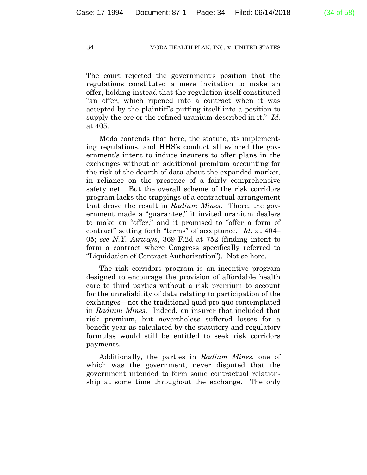The court rejected the government's position that the regulations constituted a mere invitation to make an offer, holding instead that the regulation itself constituted "an offer, which ripened into a contract when it was accepted by the plaintiff's putting itself into a position to supply the ore or the refined uranium described in it." *Id.* at 405.

Moda contends that here, the statute, its implementing regulations, and HHS's conduct all evinced the government's intent to induce insurers to offer plans in the exchanges without an additional premium accounting for the risk of the dearth of data about the expanded market, in reliance on the presence of a fairly comprehensive safety net. But the overall scheme of the risk corridors program lacks the trappings of a contractual arrangement that drove the result in *Radium Mines*. There, the government made a "guarantee," it invited uranium dealers to make an "offer," and it promised to "offer a form of contract" setting forth "terms" of acceptance. *Id.* at 404– 05; *see N.Y. Airways*, 369 F.2d at 752 (finding intent to form a contract where Congress specifically referred to "Liquidation of Contract Authorization"). Not so here.

The risk corridors program is an incentive program designed to encourage the provision of affordable health care to third parties without a risk premium to account for the unreliability of data relating to participation of the exchanges—not the traditional quid pro quo contemplated in *Radium Mines*. Indeed, an insurer that included that risk premium, but nevertheless suffered losses for a benefit year as calculated by the statutory and regulatory formulas would still be entitled to seek risk corridors payments.

Additionally, the parties in *Radium Mines*, one of which was the government, never disputed that the government intended to form some contractual relationship at some time throughout the exchange. The only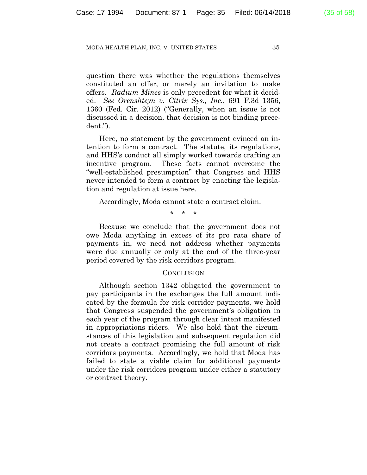question there was whether the regulations themselves constituted an offer, or merely an invitation to make offers. *Radium Mines* is only precedent for what it decided. *See Orenshteyn v. Citrix Sys., Inc.*, 691 F.3d 1356, 1360 (Fed. Cir. 2012) ("Generally, when an issue is not discussed in a decision, that decision is not binding precedent.").

Here, no statement by the government evinced an intention to form a contract. The statute, its regulations, and HHS's conduct all simply worked towards crafting an incentive program. These facts cannot overcome the "well-established presumption" that Congress and HHS never intended to form a contract by enacting the legislation and regulation at issue here.

Accordingly, Moda cannot state a contract claim.

\* \* \*

Because we conclude that the government does not owe Moda anything in excess of its pro rata share of payments in, we need not address whether payments were due annually or only at the end of the three-year period covered by the risk corridors program.

### **CONCLUSION**

Although section 1342 obligated the government to pay participants in the exchanges the full amount indicated by the formula for risk corridor payments, we hold that Congress suspended the government's obligation in each year of the program through clear intent manifested in appropriations riders. We also hold that the circumstances of this legislation and subsequent regulation did not create a contract promising the full amount of risk corridors payments. Accordingly, we hold that Moda has failed to state a viable claim for additional payments under the risk corridors program under either a statutory or contract theory.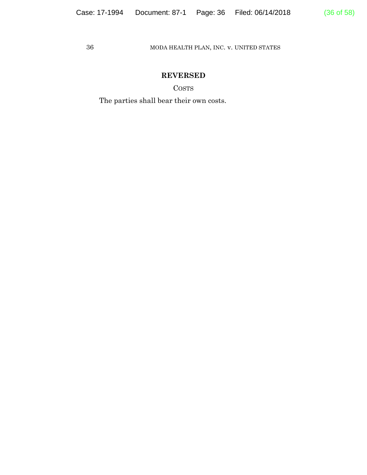# **REVERSED**

COSTS

The parties shall bear their own costs.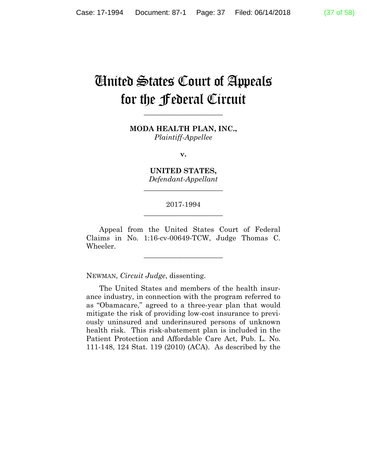# United States Court of Appeals for the Federal Circuit

**\_\_\_\_\_\_\_\_\_\_\_\_\_\_\_\_\_\_\_\_\_\_** 

**MODA HEALTH PLAN, INC.,** *Plaintiff-Appellee*

**v.**

**UNITED STATES,** *Defendant-Appellant*

**\_\_\_\_\_\_\_\_\_\_\_\_\_\_\_\_\_\_\_\_\_\_** 

# 2017-1994 **\_\_\_\_\_\_\_\_\_\_\_\_\_\_\_\_\_\_\_\_\_\_**

Appeal from the United States Court of Federal Claims in No. 1:16-cv-00649-TCW, Judge Thomas C. Wheeler.

**\_\_\_\_\_\_\_\_\_\_\_\_\_\_\_\_\_\_\_\_\_\_** 

NEWMAN, *Circuit Judge*, dissenting.

The United States and members of the health insurance industry, in connection with the program referred to as "Obamacare," agreed to a three-year plan that would mitigate the risk of providing low-cost insurance to previously uninsured and underinsured persons of unknown health risk. This risk-abatement plan is included in the Patient Protection and Affordable Care Act, Pub. L. No. 111-148, 124 Stat. 119 (2010) (ACA). As described by the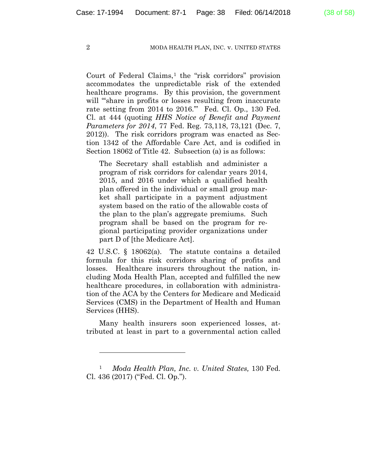Court of Federal Claims, $<sup>1</sup>$  the "risk corridors" provision</sup> accommodates the unpredictable risk of the extended healthcare programs. By this provision, the government will "share in profits or losses resulting from inaccurate rate setting from 2014 to 2016.'" Fed. Cl. Op., 130 Fed. Cl. at 444 (quoting *HHS Notice of Benefit and Payment Parameters for 2014*, 77 Fed. Reg. 73,118, 73,121 (Dec. 7, 2012)). The risk corridors program was enacted as Section 1342 of the Affordable Care Act, and is codified in Section 18062 of Title 42. Subsection (a) is as follows:

The Secretary shall establish and administer a program of risk corridors for calendar years 2014, 2015, and 2016 under which a qualified health plan offered in the individual or small group market shall participate in a payment adjustment system based on the ratio of the allowable costs of the plan to the plan's aggregate premiums. Such program shall be based on the program for regional participating provider organizations under part D of [the Medicare Act].

42 U.S.C. § 18062(a). The statute contains a detailed formula for this risk corridors sharing of profits and losses. Healthcare insurers throughout the nation, including Moda Health Plan, accepted and fulfilled the new healthcare procedures, in collaboration with administration of the ACA by the Centers for Medicare and Medicaid Services (CMS) in the Department of Health and Human Services (HHS).

Many health insurers soon experienced losses, attributed at least in part to a governmental action called

<sup>1</sup> *Moda Health Plan, Inc. v. United States,* 130 Fed. Cl. 436 (2017) ("Fed. Cl. Op.").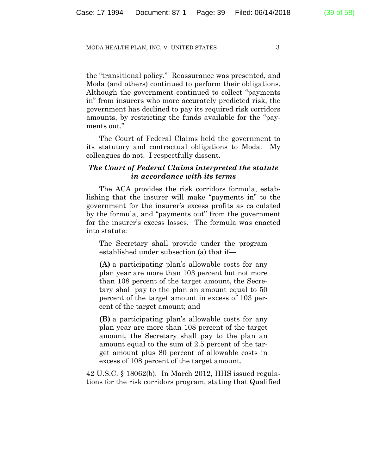the "transitional policy." Reassurance was presented, and Moda (and others) continued to perform their obligations. Although the government continued to collect "payments in" from insurers who more accurately predicted risk, the government has declined to pay its required risk corridors amounts, by restricting the funds available for the "payments out."

The Court of Federal Claims held the government to its statutory and contractual obligations to Moda. My colleagues do not. I respectfully dissent.

# *The Court of Federal Claims interpreted the statute in accordance with its terms*

The ACA provides the risk corridors formula, establishing that the insurer will make "payments in" to the government for the insurer's excess profits as calculated by the formula, and "payments out" from the government for the insurer's excess losses. The formula was enacted into statute:

The Secretary shall provide under the program established under subsection (a) that if—

**(A)** a participating plan's allowable costs for any plan year are more than 103 percent but not more than 108 percent of the target amount, the Secretary shall pay to the plan an amount equal to 50 percent of the target amount in excess of 103 percent of the target amount; and

**(B)** a participating plan's allowable costs for any plan year are more than 108 percent of the target amount, the Secretary shall pay to the plan an amount equal to the sum of 2.5 percent of the target amount plus 80 percent of allowable costs in excess of 108 percent of the target amount.

42 U.S.C. § 18062(b). In March 2012, HHS issued regulations for the risk corridors program, stating that Qualified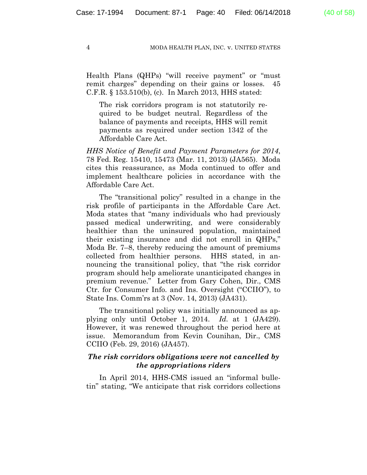Health Plans (QHPs) "will receive payment" or "must remit charges" depending on their gains or losses. 45 C.F.R. § 153.510(b), (c). In March 2013, HHS stated:

The risk corridors program is not statutorily required to be budget neutral. Regardless of the balance of payments and receipts, HHS will remit payments as required under section 1342 of the Affordable Care Act.

*HHS Notice of Benefit and Payment Parameters for 2014*, 78 Fed. Reg. 15410, 15473 (Mar. 11, 2013) (JA565). Moda cites this reassurance, as Moda continued to offer and implement healthcare policies in accordance with the Affordable Care Act.

The "transitional policy" resulted in a change in the risk profile of participants in the Affordable Care Act. Moda states that "many individuals who had previously passed medical underwriting, and were considerably healthier than the uninsured population, maintained their existing insurance and did not enroll in QHPs," Moda Br. 7–8, thereby reducing the amount of premiums collected from healthier persons. HHS stated, in announcing the transitional policy, that "the risk corridor program should help ameliorate unanticipated changes in premium revenue." Letter from Gary Cohen, Dir., CMS Ctr. for Consumer Info. and Ins. Oversight ("CCIIO"), to State Ins. Comm'rs at 3 (Nov. 14, 2013) (JA431).

The transitional policy was initially announced as applying only until October 1, 2014. *Id.* at 1 (JA429). However, it was renewed throughout the period here at issue. Memorandum from Kevin Counihan, Dir., CMS CCIIO (Feb. 29, 2016) (JA457).

# *The risk corridors obligations were not cancelled by the appropriations riders*

In April 2014, HHS-CMS issued an "informal bulletin" stating, "We anticipate that risk corridors collections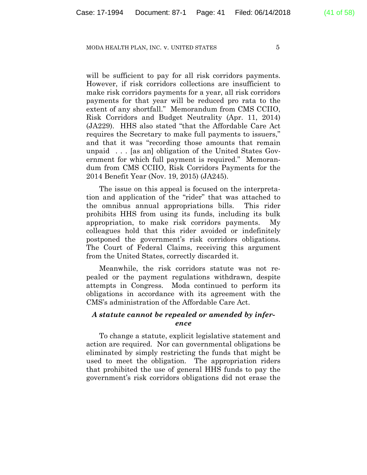will be sufficient to pay for all risk corridors payments. However, if risk corridors collections are insufficient to make risk corridors payments for a year, all risk corridors payments for that year will be reduced pro rata to the extent of any shortfall." Memorandum from CMS CCIIO, Risk Corridors and Budget Neutrality (Apr. 11, 2014) (JA229). HHS also stated "that the Affordable Care Act requires the Secretary to make full payments to issuers," and that it was "recording those amounts that remain unpaid . . . [as an] obligation of the United States Government for which full payment is required." Memorandum from CMS CCIIO, Risk Corridors Payments for the 2014 Benefit Year (Nov. 19, 2015) (JA245).

The issue on this appeal is focused on the interpretation and application of the "rider" that was attached to the omnibus annual appropriations bills. This rider prohibits HHS from using its funds, including its bulk appropriation, to make risk corridors payments. My colleagues hold that this rider avoided or indefinitely postponed the government's risk corridors obligations. The Court of Federal Claims, receiving this argument from the United States, correctly discarded it.

Meanwhile, the risk corridors statute was not repealed or the payment regulations withdrawn, despite attempts in Congress. Moda continued to perform its obligations in accordance with its agreement with the CMS's administration of the Affordable Care Act.

# *A statute cannot be repealed or amended by inference*

To change a statute, explicit legislative statement and action are required. Nor can governmental obligations be eliminated by simply restricting the funds that might be used to meet the obligation. The appropriation riders that prohibited the use of general HHS funds to pay the government's risk corridors obligations did not erase the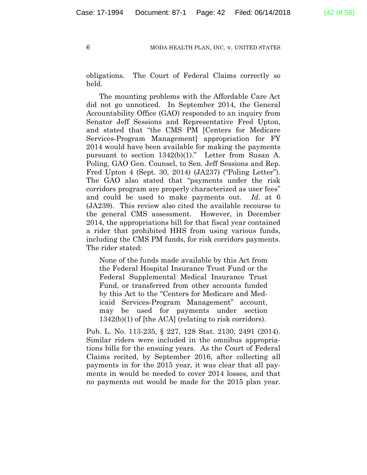obligations. The Court of Federal Claims correctly so held.

The mounting problems with the Affordable Care Act did not go unnoticed. In September 2014, the General Accountability Office (GAO) responded to an inquiry from Senator Jeff Sessions and Representative Fred Upton, and stated that "the CMS PM [Centers for Medicare Services-Program Management] appropriation for FY 2014 would have been available for making the payments pursuant to section 1342(b)(1)." Letter from Susan A. Poling, GAO Gen. Counsel, to Sen. Jeff Sessions and Rep. Fred Upton 4 (Sept. 30, 2014) (JA237) ("Poling Letter"). The GAO also stated that "payments under the risk corridors program are properly characterized as user fees" and could be used to make payments out. *Id.* at 6 (JA239). This review also cited the available recourse to the general CMS assessment. However, in December 2014, the appropriations bill for that fiscal year contained a rider that prohibited HHS from using various funds, including the CMS PM funds, for risk corridors payments. The rider stated:

None of the funds made available by this Act from the Federal Hospital Insurance Trust Fund or the Federal Supplemental Medical Insurance Trust Fund, or transferred from other accounts funded by this Act to the "Centers for Medicare and Medicaid Services-Program Management" account, may be used for payments under section 1342(b)(1) of [the ACA] (relating to risk corridors).

Pub. L. No. 113-235, § 227, 128 Stat. 2130, 2491 (2014). Similar riders were included in the omnibus appropriations bills for the ensuing years. As the Court of Federal Claims recited, by September 2016, after collecting all payments in for the 2015 year, it was clear that all payments in would be needed to cover 2014 losses, and that no payments out would be made for the 2015 plan year.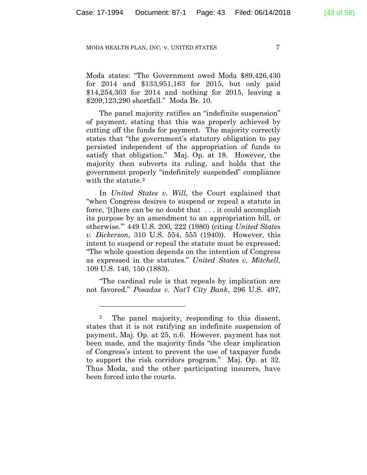Moda states: "The Government owed Moda \$89,426,430 for 2014 and \$133,951,163 for 2015, but only paid \$14,254,303 for 2014 and nothing for 2015, leaving a \$209,123,290 shortfall." Moda Br. 10.

The panel majority ratifies an "indefinite suspension" of payment, stating that this was properly achieved by cutting off the funds for payment. The majority correctly states that "the government's statutory obligation to pay persisted independent of the appropriation of funds to satisfy that obligation." Maj. Op. at 18. However, the majority then subverts its ruling, and holds that the government properly "indefinitely suspended" compliance with the statute.<sup>2</sup>

In *United States v. Will*, the Court explained that "when Congress desires to suspend or repeal a statute in force, '[t] here can be no doubt that  $\dots$  it could accomplish its purpose by an amendment to an appropriation bill, or otherwise.'" 449 U.S. 200, 222 (1980) (citing *United States v. Dickerson*, 310 U.S. 554, 555 (1940)). However, this intent to suspend or repeal the statute must be expressed: "The whole question depends on the intention of Congress as expressed in the statutes." *United States v. Mitchell*, 109 U.S. 146, 150 (1883).

"The cardinal rule is that repeals by implication are not favored." *Posadas v. Nat'l City Bank*, 296 U.S. 497,

<sup>2</sup> The panel majority, responding to this dissent, states that it is not ratifying an indefinite suspension of payment. Maj. Op. at 25, n.6. However, payment has not been made, and the majority finds "the clear implication of Congress's intent to prevent the use of taxpayer funds to support the risk corridors program." Maj. Op. at 32. Thus Moda, and the other participating insurers, have been forced into the courts.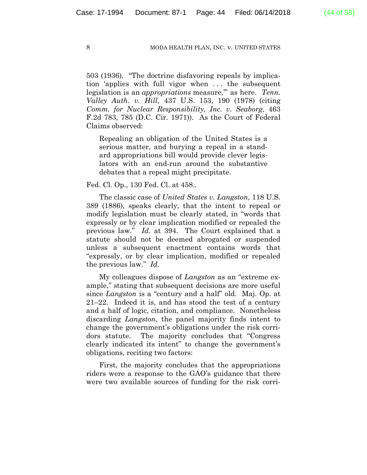503 (1936). "The doctrine disfavoring repeals by implication 'applies with full vigor when . . . the subsequent legislation is an *appropriations* measure,'" as here. *Tenn. Valley Auth. v. Hill*, 437 U.S. 153, 190 (1978) (citing *Comm. for Nuclear Responsibility, Inc. v. Seaborg*, 463 F.2d 783, 785 (D.C. Cir. 1971)). As the Court of Federal Claims observed:

Repealing an obligation of the United States is a serious matter, and burying a repeal in a standard appropriations bill would provide clever legislators with an end-run around the substantive debates that a repeal might precipitate.

Fed. Cl. Op., 130 Fed. Cl. at 458..

The classic case of *United States v. Langston*, 118 U.S. 389 (1886), speaks clearly, that the intent to repeal or modify legislation must be clearly stated, in "words that expressly or by clear implication modified or repealed the previous law." *Id.* at 394. The Court explained that a statute should not be deemed abrogated or suspended unless a subsequent enactment contains words that "expressly, or by clear implication, modified or repealed the previous law." *Id.*

My colleagues dispose of *Langston* as an "extreme example," stating that subsequent decisions are more useful since *Langston* is a "century and a half" old. Maj. Op. at 21–22. Indeed it is, and has stood the test of a century and a half of logic, citation, and compliance. Nonetheless discarding *Langston*, the panel majority finds intent to change the government's obligations under the risk corridors statute. The majority concludes that "Congress clearly indicated its intent" to change the government's obligations, reciting two factors:

First, the majority concludes that the appropriations riders were a response to the GAO's guidance that there were two available sources of funding for the risk corri-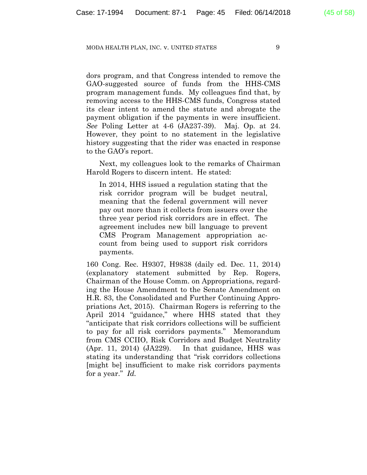dors program, and that Congress intended to remove the GAO-suggested source of funds from the HHS-CMS program management funds. My colleagues find that, by removing access to the HHS-CMS funds, Congress stated its clear intent to amend the statute and abrogate the payment obligation if the payments in were insufficient. *See* Poling Letter at 4-6 (JA237-39). Maj. Op. at 24. However, they point to no statement in the legislative history suggesting that the rider was enacted in response to the GAO's report.

Next, my colleagues look to the remarks of Chairman Harold Rogers to discern intent. He stated:

In 2014, HHS issued a regulation stating that the risk corridor program will be budget neutral, meaning that the federal government will never pay out more than it collects from issuers over the three year period risk corridors are in effect. The agreement includes new bill language to prevent CMS Program Management appropriation account from being used to support risk corridors payments.

160 Cong. Rec. H9307, H9838 (daily ed. Dec. 11, 2014) (explanatory statement submitted by Rep. Rogers, Chairman of the House Comm. on Appropriations, regarding the House Amendment to the Senate Amendment on H.R. 83, the Consolidated and Further Continuing Appropriations Act, 2015). Chairman Rogers is referring to the April 2014 "guidance," where HHS stated that they "anticipate that risk corridors collections will be sufficient to pay for all risk corridors payments." Memorandum from CMS CCIIO, Risk Corridors and Budget Neutrality (Apr. 11, 2014) (JA229). In that guidance, HHS was stating its understanding that "risk corridors collections [might be] insufficient to make risk corridors payments for a year." *Id.*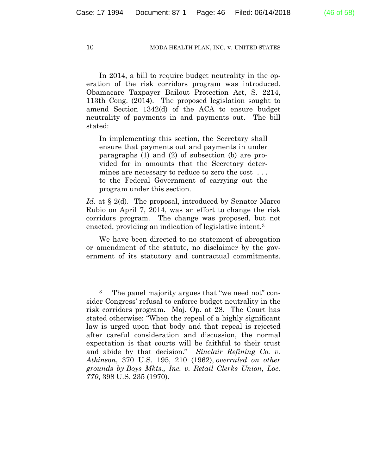In 2014, a bill to require budget neutrality in the operation of the risk corridors program was introduced. Obamacare Taxpayer Bailout Protection Act, S. 2214, 113th Cong. (2014). The proposed legislation sought to amend Section 1342(d) of the ACA to ensure budget neutrality of payments in and payments out. The bill stated:

In implementing this section, the Secretary shall ensure that payments out and payments in under paragraphs (1) and (2) of subsection (b) are provided for in amounts that the Secretary determines are necessary to reduce to zero the cost . . . to the Federal Government of carrying out the program under this section.

*Id.* at § 2(d). The proposal, introduced by Senator Marco Rubio on April 7, 2014, was an effort to change the risk corridors program. The change was proposed, but not enacted, providing an indication of legislative intent.3

We have been directed to no statement of abrogation or amendment of the statute, no disclaimer by the government of its statutory and contractual commitments.

<sup>3</sup> The panel majority argues that "we need not" consider Congress' refusal to enforce budget neutrality in the risk corridors program. Maj. Op. at 28. The Court has stated otherwise: "When the repeal of a highly significant law is urged upon that body and that repeal is rejected after careful consideration and discussion, the normal expectation is that courts will be faithful to their trust and abide by that decision." *Sinclair Refining Co. v. Atkinson*, 370 U.S. 195, 210 (1962), *overruled on other grounds by Boys Mkts., Inc. v. Retail Clerks Union, Loc. 770*, 398 U.S. 235 (1970).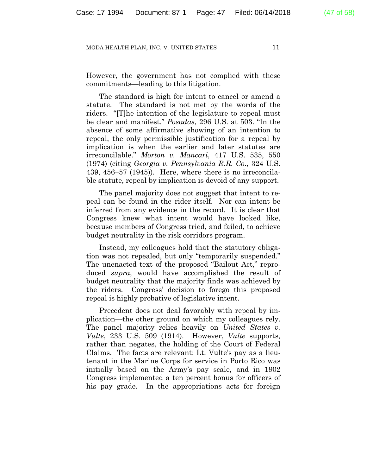However, the government has not complied with these commitments—leading to this litigation.

The standard is high for intent to cancel or amend a statute. The standard is not met by the words of the riders. "[T]he intention of the legislature to repeal must be clear and manifest." *Posadas*, 296 U.S. at 503. "In the absence of some affirmative showing of an intention to repeal, the only permissible justification for a repeal by implication is when the earlier and later statutes are irreconcilable." *Morton v. Mancari*, 417 U.S. 535, 550 (1974) (citing *Georgia v. Pennsylvania R.R. Co*., 324 U.S. 439, 456–57 (1945)). Here, where there is no irreconcilable statute, repeal by implication is devoid of any support.

The panel majority does not suggest that intent to repeal can be found in the rider itself. Nor can intent be inferred from any evidence in the record. It is clear that Congress knew what intent would have looked like, because members of Congress tried, and failed, to achieve budget neutrality in the risk corridors program.

Instead, my colleagues hold that the statutory obligation was not repealed, but only "temporarily suspended." The unenacted text of the proposed "Bailout Act," reproduced *supra*, would have accomplished the result of budget neutrality that the majority finds was achieved by the riders. Congress' decision to forego this proposed repeal is highly probative of legislative intent.

Precedent does not deal favorably with repeal by implication—the other ground on which my colleagues rely. The panel majority relies heavily on *United States v. Vulte*, 233 U.S. 509 (1914). However, *Vulte* supports, rather than negates, the holding of the Court of Federal Claims. The facts are relevant: Lt. Vulte's pay as a lieutenant in the Marine Corps for service in Porto Rico was initially based on the Army's pay scale, and in 1902 Congress implemented a ten percent bonus for officers of his pay grade. In the appropriations acts for foreign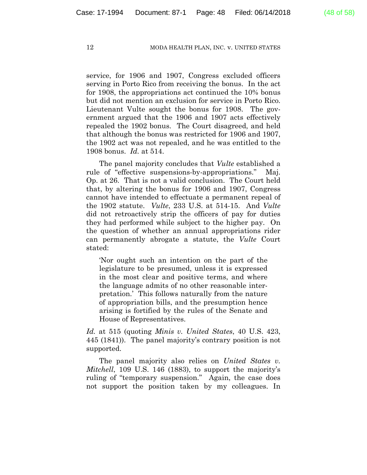service, for 1906 and 1907, Congress excluded officers serving in Porto Rico from receiving the bonus. In the act for 1908, the appropriations act continued the 10% bonus but did not mention an exclusion for service in Porto Rico. Lieutenant Vulte sought the bonus for 1908. The government argued that the 1906 and 1907 acts effectively repealed the 1902 bonus. The Court disagreed, and held that although the bonus was restricted for 1906 and 1907, the 1902 act was not repealed, and he was entitled to the 1908 bonus. *Id.* at 514.

The panel majority concludes that *Vulte* established a rule of "effective suspensions-by-appropriations." Maj. Op. at 26. That is not a valid conclusion. The Court held that, by altering the bonus for 1906 and 1907, Congress cannot have intended to effectuate a permanent repeal of the 1902 statute. *Vulte*, 233 U.S. at 514-15. And *Vulte* did not retroactively strip the officers of pay for duties they had performed while subject to the higher pay. On the question of whether an annual appropriations rider can permanently abrogate a statute, the *Vulte* Court stated:

'Nor ought such an intention on the part of the legislature to be presumed, unless it is expressed in the most clear and positive terms, and where the language admits of no other reasonable interpretation.' This follows naturally from the nature of appropriation bills, and the presumption hence arising is fortified by the rules of the Senate and House of Representatives.

*Id.* at 515 (quoting *Minis v. United States*, 40 U.S. 423, 445 (1841)). The panel majority's contrary position is not supported.

The panel majority also relies on *United States v. Mitchell*, 109 U.S. 146 (1883), to support the majority's ruling of "temporary suspension." Again, the case does not support the position taken by my colleagues. In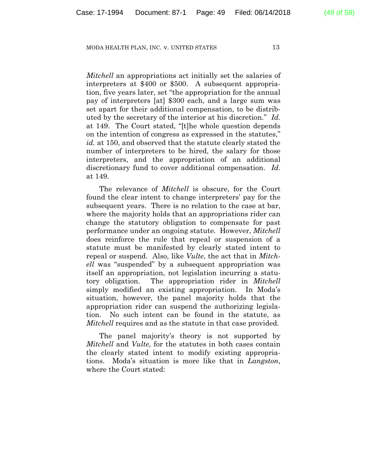*Mitchell* an appropriations act initially set the salaries of interpreters at \$400 or \$500. A subsequent appropriation, five years later, set "the appropriation for the annual pay of interpreters [at] \$300 each, and a large sum was set apart for their additional compensation, to be distributed by the secretary of the interior at his discretion." *Id.* at 149. The Court stated, "[t]he whole question depends on the intention of congress as expressed in the statutes," *id.* at 150, and observed that the statute clearly stated the number of interpreters to be hired, the salary for those interpreters, and the appropriation of an additional discretionary fund to cover additional compensation. *Id.* at 149.

The relevance of *Mitchell* is obscure, for the Court found the clear intent to change interpreters' pay for the subsequent years. There is no relation to the case at bar, where the majority holds that an appropriations rider can change the statutory obligation to compensate for past performance under an ongoing statute. However, *Mitchell* does reinforce the rule that repeal or suspension of a statute must be manifested by clearly stated intent to repeal or suspend. Also, like *Vulte*, the act that in *Mitchell* was "suspended" by a subsequent appropriation was itself an appropriation, not legislation incurring a statutory obligation. The appropriation rider in *Mitchell* simply modified an existing appropriation. In Moda's situation, however, the panel majority holds that the appropriation rider can suspend the authorizing legislation. No such intent can be found in the statute, as *Mitchell* requires and as the statute in that case provided.

The panel majority's theory is not supported by *Mitchell* and *Vulte*, for the statutes in both cases contain the clearly stated intent to modify existing appropriations. Moda's situation is more like that in *Langston*, where the Court stated: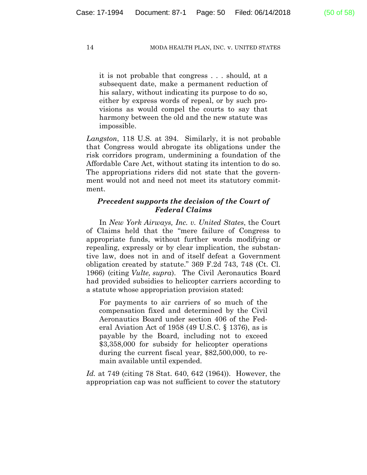it is not probable that congress . . . should, at a subsequent date, make a permanent reduction of his salary, without indicating its purpose to do so, either by express words of repeal, or by such provisions as would compel the courts to say that harmony between the old and the new statute was impossible.

*Langston*, 118 U.S. at 394. Similarly, it is not probable that Congress would abrogate its obligations under the risk corridors program, undermining a foundation of the Affordable Care Act, without stating its intention to do so. The appropriations riders did not state that the government would not and need not meet its statutory commitment.

# *Precedent supports the decision of the Court of Federal Claims*

In *New York Airways, Inc. v. United States*, the Court of Claims held that the "mere failure of Congress to appropriate funds, without further words modifying or repealing, expressly or by clear implication, the substantive law, does not in and of itself defeat a Government obligation created by statute." 369 F.2d 743, 748 (Ct. Cl. 1966) (citing *Vulte, supra*). The Civil Aeronautics Board had provided subsidies to helicopter carriers according to a statute whose appropriation provision stated:

For payments to air carriers of so much of the compensation fixed and determined by the Civil Aeronautics Board under section 406 of the Federal Aviation Act of 1958 (49 U.S.C. § 1376), as is payable by the Board, including not to exceed \$3,358,000 for subsidy for helicopter operations during the current fiscal year, \$82,500,000, to remain available until expended.

*Id.* at 749 (citing 78 Stat. 640, 642 (1964)). However, the appropriation cap was not sufficient to cover the statutory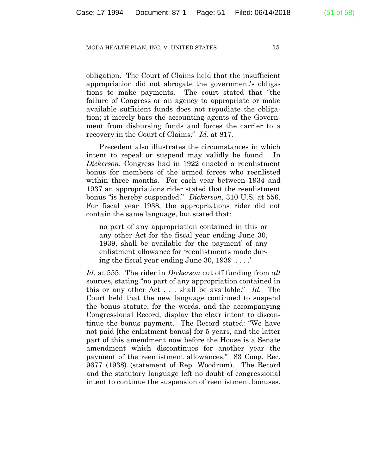obligation. The Court of Claims held that the insufficient appropriation did not abrogate the government's obligations to make payments. The court stated that "the failure of Congress or an agency to appropriate or make available sufficient funds does not repudiate the obligation; it merely bars the accounting agents of the Government from disbursing funds and forces the carrier to a recovery in the Court of Claims." *Id.* at 817.

Precedent also illustrates the circumstances in which intent to repeal or suspend may validly be found. In *Dickerson*, Congress had in 1922 enacted a reenlistment bonus for members of the armed forces who reenlisted within three months. For each year between 1934 and 1937 an appropriations rider stated that the reenlistment bonus "is hereby suspended." *Dickerson*, 310 U.S. at 556. For fiscal year 1938, the appropriations rider did not contain the same language, but stated that:

no part of any appropriation contained in this or any other Act for the fiscal year ending June 30, 1939, shall be available for the payment' of any enlistment allowance for 'reenlistments made during the fiscal year ending June 30, 1939 . . . .'

*Id.* at 555. The rider in *Dickerson* cut off funding from *all* sources, stating "no part of any appropriation contained in this or any other Act . . . shall be available." *Id.* The Court held that the new language continued to suspend the bonus statute, for the words, and the accompanying Congressional Record, display the clear intent to discontinue the bonus payment. The Record stated: "We have not paid [the enlistment bonus] for 5 years, and the latter part of this amendment now before the House is a Senate amendment which discontinues for another year the payment of the reenlistment allowances." 83 Cong. Rec. 9677 (1938) (statement of Rep. Woodrum). The Record and the statutory language left no doubt of congressional intent to continue the suspension of reenlistment bonuses.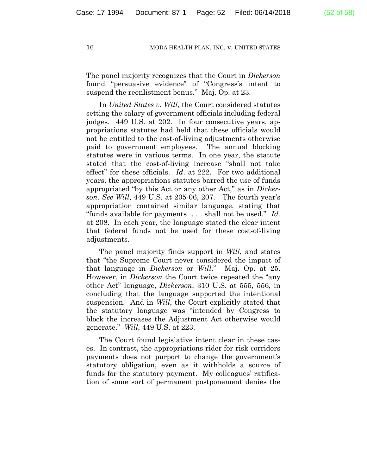The panel majority recognizes that the Court in *Dickerson* found "persuasive evidence" of "Congress's intent to suspend the reenlistment bonus." Maj. Op. at 23.

In *United States v. Will*, the Court considered statutes setting the salary of government officials including federal judges. 449 U.S. at 202. In four consecutive years, appropriations statutes had held that these officials would not be entitled to the cost-of-living adjustments otherwise paid to government employees. The annual blocking statutes were in various terms. In one year, the statute stated that the cost-of-living increase "shall not take effect" for these officials. *Id*. at 222. For two additional years, the appropriations statutes barred the use of funds appropriated "by this Act or any other Act," as in *Dickerson*. *See Will*, 449 U.S. at 205-06, 207. The fourth year's appropriation contained similar language, stating that "funds available for payments . . . shall not be used." *Id.* at 208. In each year, the language stated the clear intent that federal funds not be used for these cost-of-living adjustments.

The panel majority finds support in *Will*, and states that "the Supreme Court never considered the impact of that language in *Dickerson* or *Will*." Maj. Op. at 25. However, in *Dickerson* the Court twice repeated the "any other Act" language, *Dickerson*, 310 U.S. at 555, 556, in concluding that the language supported the intentional suspension. And in *Will*, the Court explicitly stated that the statutory language was "intended by Congress to block the increases the Adjustment Act otherwise would generate." *Will*, 449 U.S. at 223.

The Court found legislative intent clear in these cases. In contrast, the appropriations rider for risk corridors payments does not purport to change the government's statutory obligation, even as it withholds a source of funds for the statutory payment. My colleagues' ratification of some sort of permanent postponement denies the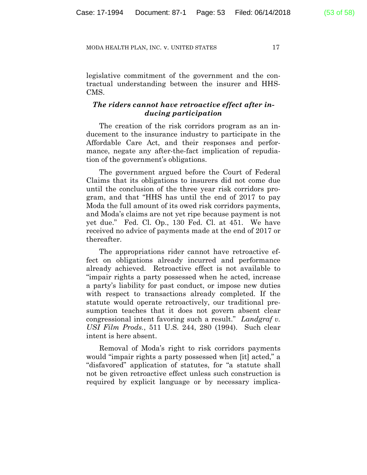legislative commitment of the government and the contractual understanding between the insurer and HHS-CMS.

# *The riders cannot have retroactive effect after inducing participation*

The creation of the risk corridors program as an inducement to the insurance industry to participate in the Affordable Care Act, and their responses and performance, negate any after-the-fact implication of repudiation of the government's obligations.

The government argued before the Court of Federal Claims that its obligations to insurers did not come due until the conclusion of the three year risk corridors program, and that "HHS has until the end of 2017 to pay Moda the full amount of its owed risk corridors payments, and Moda's claims are not yet ripe because payment is not yet due." Fed. Cl. Op., 130 Fed. Cl. at 451. We have received no advice of payments made at the end of 2017 or thereafter.

The appropriations rider cannot have retroactive effect on obligations already incurred and performance already achieved. Retroactive effect is not available to "impair rights a party possessed when he acted, increase a party's liability for past conduct, or impose new duties with respect to transactions already completed. If the statute would operate retroactively, our traditional presumption teaches that it does not govern absent clear congressional intent favoring such a result." *Landgraf v. USI Film Prods.*, 511 U.S. 244, 280 (1994). Such clear intent is here absent.

Removal of Moda's right to risk corridors payments would "impair rights a party possessed when [it] acted," a "disfavored" application of statutes, for "a statute shall not be given retroactive effect unless such construction is required by explicit language or by necessary implica-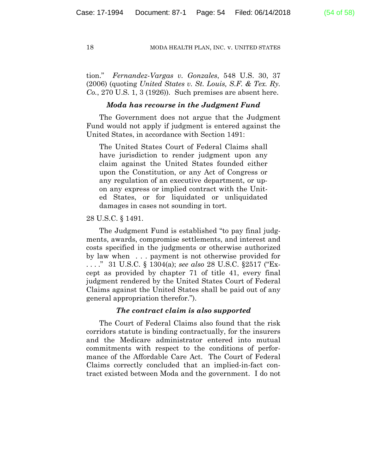tion." *Fernandez-Vargas v. Gonzales*, 548 U.S. 30, 37 (2006) (quoting *United States v. St. Louis, S.F. & Tex. Ry. Co.*, 270 U.S. 1, 3 (1926))*.* Such premises are absent here.

# *Moda has recourse in the Judgment Fund*

The Government does not argue that the Judgment Fund would not apply if judgment is entered against the United States, in accordance with Section 1491:

The United States Court of Federal Claims shall have jurisdiction to render judgment upon any claim against the United States founded either upon the Constitution, or any Act of Congress or any regulation of an executive department, or upon any express or implied contract with the United States, or for liquidated or unliquidated damages in cases not sounding in tort.

### 28 U.S.C. § 1491.

The Judgment Fund is established "to pay final judgments, awards, compromise settlements, and interest and costs specified in the judgments or otherwise authorized by law when . . . payment is not otherwise provided for . . . ." 31 U.S.C. § 1304(a); *see also* 28 U.S.C. §2517 ("Except as provided by chapter 71 of title 41, every final judgment rendered by the United States Court of Federal Claims against the United States shall be paid out of any general appropriation therefor.").

# *The contract claim is also supported*

The Court of Federal Claims also found that the risk corridors statute is binding contractually, for the insurers and the Medicare administrator entered into mutual commitments with respect to the conditions of performance of the Affordable Care Act. The Court of Federal Claims correctly concluded that an implied-in-fact contract existed between Moda and the government. I do not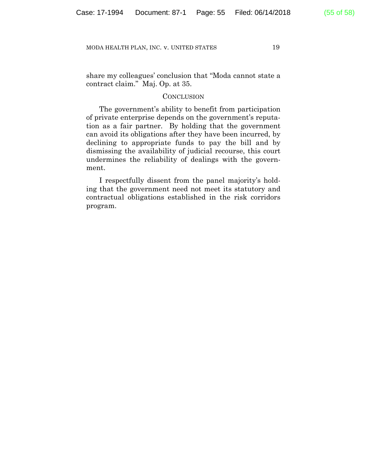share my colleagues' conclusion that "Moda cannot state a contract claim." Maj. Op. at 35.

# **CONCLUSION**

The government's ability to benefit from participation of private enterprise depends on the government's reputation as a fair partner. By holding that the government can avoid its obligations after they have been incurred, by declining to appropriate funds to pay the bill and by dismissing the availability of judicial recourse, this court undermines the reliability of dealings with the government.

I respectfully dissent from the panel majority's holding that the government need not meet its statutory and contractual obligations established in the risk corridors program.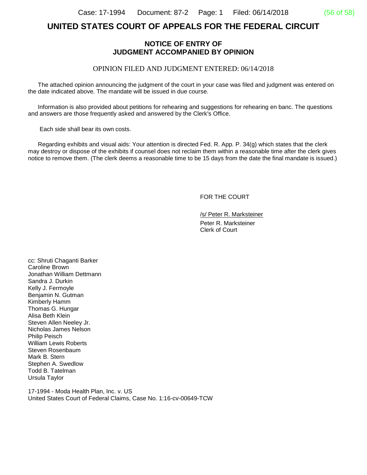# **UNITED STATES COURT OF APPEALS FOR THE FEDERAL CIRCUIT**

# **NOTICE OF ENTRY OF JUDGMENT ACCOMPANIED BY OPINION**

# OPINION FILED AND JUDGMENT ENTERED: 06/14/2018

 The attached opinion announcing the judgment of the court in your case was filed and judgment was entered on the date indicated above. The mandate will be issued in due course.

 Information is also provided about petitions for rehearing and suggestions for rehearing en banc. The questions and answers are those frequently asked and answered by the Clerk's Office.

Each side shall bear its own costs.

 Regarding exhibits and visual aids: Your attention is directed Fed. R. App. P. 34(g) which states that the clerk may destroy or dispose of the exhibits if counsel does not reclaim them within a reasonable time after the clerk gives notice to remove them. (The clerk deems a reasonable time to be 15 days from the date the final mandate is issued.)

FOR THE COURT

/s/ Peter R. Marksteiner Peter R. Marksteiner Clerk of Court

cc: Shruti Chaganti Barker Caroline Brown Jonathan William Dettmann Sandra J. Durkin Kelly J. Fermoyle Benjamin N. Gutman Kimberly Hamm Thomas G. Hungar Alisa Beth Klein Steven Allen Neeley Jr. Nicholas James Nelson Philip Peisch William Lewis Roberts Steven Rosenbaum Mark B. Stern Stephen A. Swedlow Todd B. Tatelman Ursula Taylor

17-1994 - Moda Health Plan, Inc. v. US United States Court of Federal Claims, Case No. 1:16-cv-00649-TCW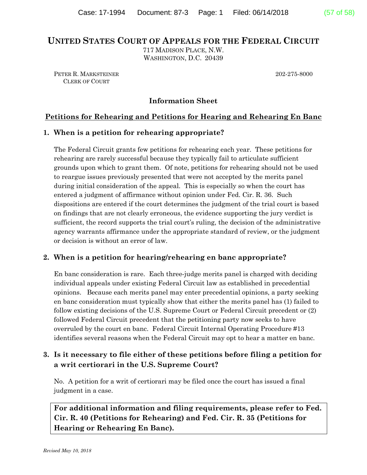# **UNITED STATES COURT OF APPEALS FOR THE FEDERAL CIRCUIT**

717 MADISON PLACE, N.W. WASHINGTON, D.C. 20439

PETER R. MARKSTEINER 202-275-8000 CLERK OF COURT

**Information Sheet**

# **Petitions for Rehearing and Petitions for Hearing and Rehearing En Banc**

# **1. When is a petition for rehearing appropriate?**

The Federal Circuit grants few petitions for rehearing each year. These petitions for rehearing are rarely successful because they typically fail to articulate sufficient grounds upon which to grant them. Of note, petitions for rehearing should not be used to reargue issues previously presented that were not accepted by the merits panel during initial consideration of the appeal. This is especially so when the court has entered a judgment of affirmance without opinion under Fed. Cir. R. 36. Such dispositions are entered if the court determines the judgment of the trial court is based on findings that are not clearly erroneous, the evidence supporting the jury verdict is sufficient, the record supports the trial court's ruling, the decision of the administrative agency warrants affirmance under the appropriate standard of review, or the judgment or decision is without an error of law.

# **2. When is a petition for hearing/rehearing en banc appropriate?**

En banc consideration is rare. Each three-judge merits panel is charged with deciding individual appeals under existing Federal Circuit law as established in precedential opinions. Because each merits panel may enter precedential opinions, a party seeking en banc consideration must typically show that either the merits panel has (1) failed to follow existing decisions of the U.S. Supreme Court or Federal Circuit precedent or (2) followed Federal Circuit precedent that the petitioning party now seeks to have overruled by the court en banc. Federal Circuit Internal Operating Procedure #13 identifies several reasons when the Federal Circuit may opt to hear a matter en banc.

# **3. Is it necessary to file either of these petitions before filing a petition for a writ certiorari in the U.S. Supreme Court?**

No. A petition for a writ of certiorari may be filed once the court has issued a final judgment in a case.

**For additional information and filing requirements, please refer to Fed. Cir. R. 40 (Petitions for Rehearing) and Fed. Cir. R. 35 (Petitions for Hearing or Rehearing En Banc).**